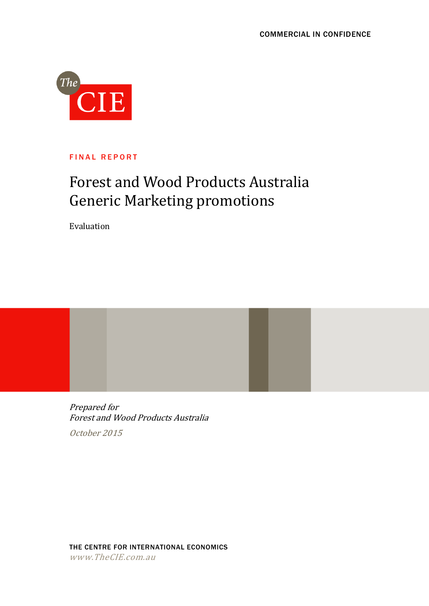

FINAL REPORT

# Forest and Wood Products Australia Generic Marketing promotions

Evaluation

Prepared for Forest and Wood Products Australia October 2015

THE CENTRE FOR INTERNATIONAL ECONOMICS www.TheCIE.com.au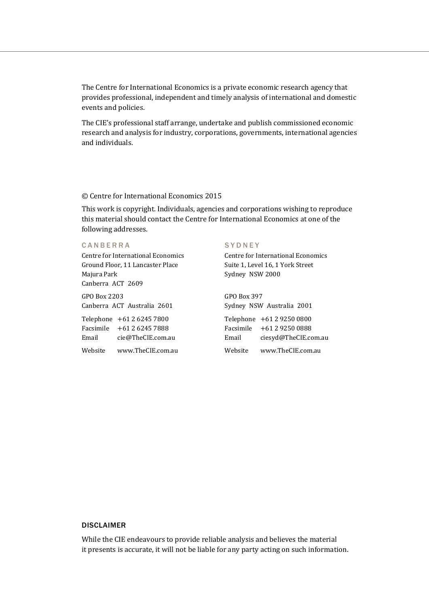The Centre for International Economics is a private economic research agency that provides professional, independent and timely analysis of international and domestic events and policies.

The CIE's professional staff arrange, undertake and publish commissioned economic research and analysis for industry, corporations, governments, international agencies and individuals.

#### © Centre for International Economics 2015

This work is copyright. Individuals, agencies and corporations wishing to reproduce this material should contact the Centre for International Economics at one of the following addresses.

#### C A N B E R R A

Centre for International Economics Ground Floor, 11 Lancaster Place Majura Park Canberra ACT 2609

GPO Box 2203 Canberra ACT Australia 2601

Telephone +61 2 6245 7800 Facsimile +61 2 6245 7888 Email cie@TheCIE.com.au Website www.TheCIE.com.au

#### **SYDNEY**

Centre for International Economics Suite 1, Level 16, 1 York Street Sydney NSW 2000

GPO Box 397 Sydney NSW Australia 2001 Telephone +61 2 9250 0800 Facsimile +61 2 9250 0888 Email [ciesyd@TheCIE.com.au](mailto:ciesyd@TheCIE.com.au) Website [www.TheCIE.com.au](http://www.thecie.com.au/)

#### DISCLAIMER

While the CIE endeavours to provide reliable analysis and believes the material it presents is accurate, it will not be liable for any party acting on such information.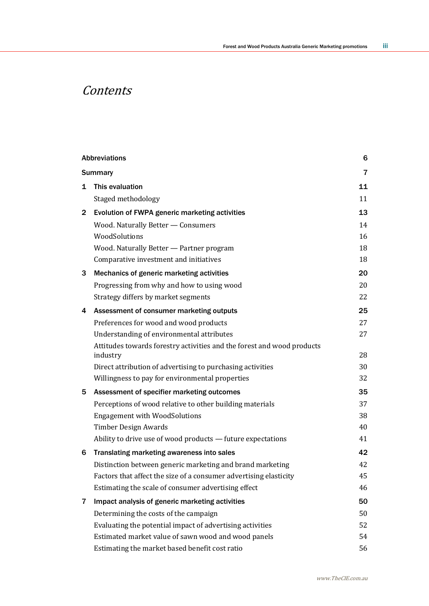# **Contents**

|              | <b>Abbreviations</b>                                                   | 6              |
|--------------|------------------------------------------------------------------------|----------------|
|              | <b>Summary</b>                                                         | $\overline{7}$ |
| 1            | This evaluation                                                        | 11             |
|              | Staged methodology                                                     | 11             |
| $\mathbf{2}$ | Evolution of FWPA generic marketing activities                         | 13             |
|              | Wood. Naturally Better - Consumers                                     | 14             |
|              | WoodSolutions                                                          | 16             |
|              | Wood. Naturally Better - Partner program                               | 18             |
|              | Comparative investment and initiatives                                 | 18             |
| 3            | Mechanics of generic marketing activities                              | 20             |
|              | Progressing from why and how to using wood                             | 20             |
|              | Strategy differs by market segments                                    | 22             |
| 4            | Assessment of consumer marketing outputs                               | 25             |
|              | Preferences for wood and wood products                                 | 27             |
|              | Understanding of environmental attributes                              | 27             |
|              | Attitudes towards forestry activities and the forest and wood products |                |
|              | industry                                                               | 28             |
|              | Direct attribution of advertising to purchasing activities             | 30             |
|              | Willingness to pay for environmental properties                        | 32             |
| 5            | Assessment of specifier marketing outcomes                             | 35             |
|              | Perceptions of wood relative to other building materials               | 37             |
|              | <b>Engagement with WoodSolutions</b>                                   | 38             |
|              | <b>Timber Design Awards</b>                                            | 40             |
|              | Ability to drive use of wood products - future expectations            | 41             |
| 6            | Translating marketing awareness into sales                             | 42             |
|              | Distinction between generic marketing and brand marketing              | 42             |
|              | Factors that affect the size of a consumer advertising elasticity      | 45             |
|              | Estimating the scale of consumer advertising effect                    | 46             |
| 7            | Impact analysis of generic marketing activities                        | 50             |
|              | Determining the costs of the campaign                                  | 50             |
|              | Evaluating the potential impact of advertising activities              | 52             |
|              | Estimated market value of sawn wood and wood panels                    | 54             |
|              | Estimating the market based benefit cost ratio                         | 56             |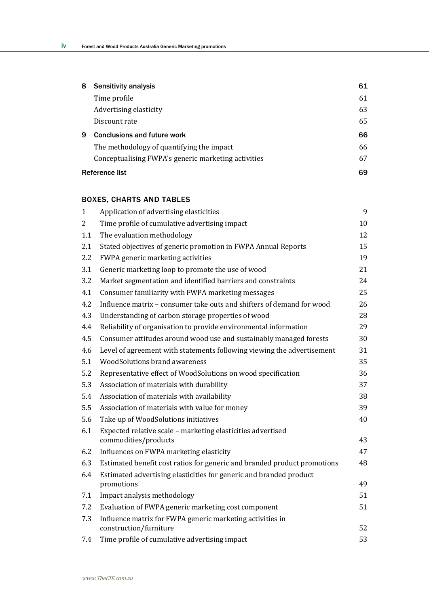| 8 | <b>Sensitivity analysis</b>                         | 61 |
|---|-----------------------------------------------------|----|
|   | Time profile                                        | 61 |
|   | Advertising elasticity                              | 63 |
|   | Discount rate                                       | 65 |
| 9 | <b>Conclusions and future work</b>                  | 66 |
|   | The methodology of quantifying the impact           | 66 |
|   | Conceptualising FWPA's generic marketing activities | 67 |
|   | <b>Reference list</b>                               | 69 |

### BOXES, CHARTS AND TABLES

| $\mathbf{1}$ | Application of advertising elasticities                                  | 9  |
|--------------|--------------------------------------------------------------------------|----|
| 2            | Time profile of cumulative advertising impact                            | 10 |
| 1.1          | The evaluation methodology                                               | 12 |
| 2.1          | Stated objectives of generic promotion in FWPA Annual Reports            | 15 |
| 2.2          | FWPA generic marketing activities                                        | 19 |
| 3.1          | Generic marketing loop to promote the use of wood                        | 21 |
| 3.2          | Market segmentation and identified barriers and constraints              | 24 |
| 4.1          | Consumer familiarity with FWPA marketing messages                        | 25 |
| 4.2          | Influence matrix – consumer take outs and shifters of demand for wood    | 26 |
| 4.3          | Understanding of carbon storage properties of wood                       | 28 |
| 4.4          | Reliability of organisation to provide environmental information         | 29 |
| 4.5          | Consumer attitudes around wood use and sustainably managed forests       | 30 |
| 4.6          | Level of agreement with statements following viewing the advertisement   | 31 |
| 5.1          | <b>WoodSolutions brand awareness</b>                                     | 35 |
| 5.2          | Representative effect of WoodSolutions on wood specification             | 36 |
| 5.3          | Association of materials with durability                                 | 37 |
| 5.4          | Association of materials with availability                               | 38 |
| 5.5          | Association of materials with value for money                            | 39 |
| 5.6          | Take up of WoodSolutions initiatives                                     | 40 |
| 6.1          | Expected relative scale - marketing elasticities advertised              |    |
|              | commodities/products                                                     | 43 |
| 6.2          | Influences on FWPA marketing elasticity                                  | 47 |
| 6.3          | Estimated benefit cost ratios for generic and branded product promotions | 48 |
| 6.4          | Estimated advertising elasticities for generic and branded product       |    |
|              | promotions                                                               | 49 |
| 7.1          | Impact analysis methodology                                              | 51 |
| 7.2          | Evaluation of FWPA generic marketing cost component                      | 51 |
| 7.3          | Influence matrix for FWPA generic marketing activities in                |    |
|              | construction/furniture                                                   | 52 |
| 7.4          | Time profile of cumulative advertising impact                            | 53 |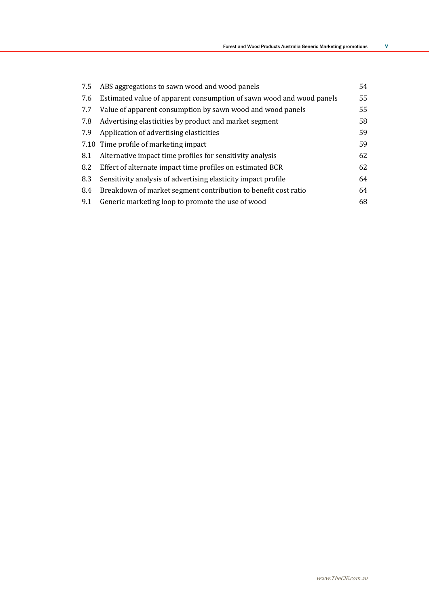| 7.5 | ABS aggregations to sawn wood and wood panels                        | 54 |
|-----|----------------------------------------------------------------------|----|
| 7.6 | Estimated value of apparent consumption of sawn wood and wood panels | 55 |
| 7.7 | Value of apparent consumption by sawn wood and wood panels           | 55 |
| 7.8 | Advertising elasticities by product and market segment               | 58 |
| 7.9 | Application of advertising elasticities                              | 59 |
|     | 7.10 Time profile of marketing impact                                | 59 |
| 8.1 | Alternative impact time profiles for sensitivity analysis            | 62 |
| 8.2 | Effect of alternate impact time profiles on estimated BCR            | 62 |
| 8.3 | Sensitivity analysis of advertising elasticity impact profile        | 64 |
| 8.4 | Breakdown of market segment contribution to benefit cost ratio       | 64 |
| 9.1 | Generic marketing loop to promote the use of wood                    | 68 |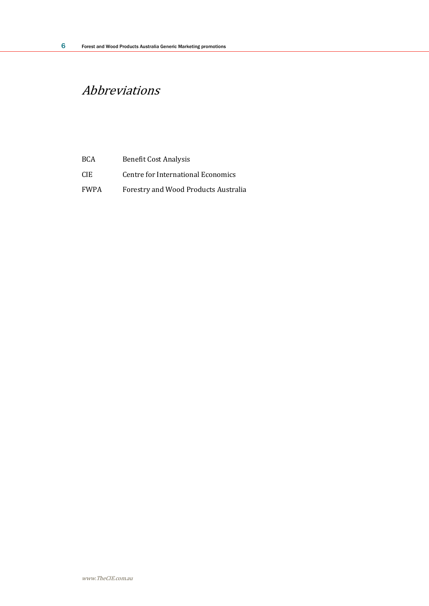# Abbreviations

| <b>BCA</b>  | <b>Benefit Cost Analysis</b>         |
|-------------|--------------------------------------|
| CIE.        | Centre for International Economics   |
| <b>FWPA</b> | Forestry and Wood Products Australia |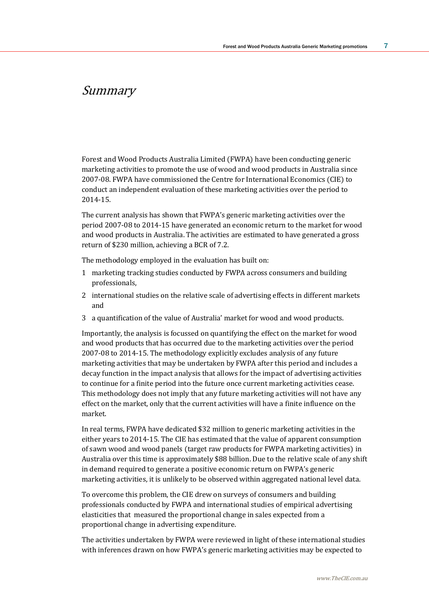# Summary

Forest and Wood Products Australia Limited (FWPA) have been conducting generic marketing activities to promote the use of wood and wood products in Australia since 2007-08. FWPA have commissioned the Centre for International Economics (CIE) to conduct an independent evaluation of these marketing activities over the period to 2014-15.

The current analysis has shown that FWPA's generic marketing activities over the period 2007-08 to 2014-15 have generated an economic return to the market for wood and wood products in Australia. The activities are estimated to have generated a gross return of \$230 million, achieving a BCR of 7.2.

The methodology employed in the evaluation has built on:

- 1 marketing tracking studies conducted by FWPA across consumers and building professionals,
- 2 international studies on the relative scale of advertising effects in different markets and
- 3 a quantification of the value of Australia' market for wood and wood products.

Importantly, the analysis is focussed on quantifying the effect on the market for wood and wood products that has occurred due to the marketing activities over the period 2007-08 to 2014-15. The methodology explicitly excludes analysis of any future marketing activities that may be undertaken by FWPA after this period and includes a decay function in the impact analysis that allows for the impact of advertising activities to continue for a finite period into the future once current marketing activities cease. This methodology does not imply that any future marketing activities will not have any effect on the market, only that the current activities will have a finite influence on the market.

In real terms, FWPA have dedicated \$32 million to generic marketing activities in the either years to 2014-15. The CIE has estimated that the value of apparent consumption of sawn wood and wood panels (target raw products for FWPA marketing activities) in Australia over this time is approximately \$88 billion. Due to the relative scale of any shift in demand required to generate a positive economic return on FWPA's generic marketing activities, it is unlikely to be observed within aggregated national level data.

To overcome this problem, the CIE drew on surveys of consumers and building professionals conducted by FWPA and international studies of empirical advertising elasticities that measured the proportional change in sales expected from a proportional change in advertising expenditure.

The activities undertaken by FWPA were reviewed in light of these international studies with inferences drawn on how FWPA's generic marketing activities may be expected to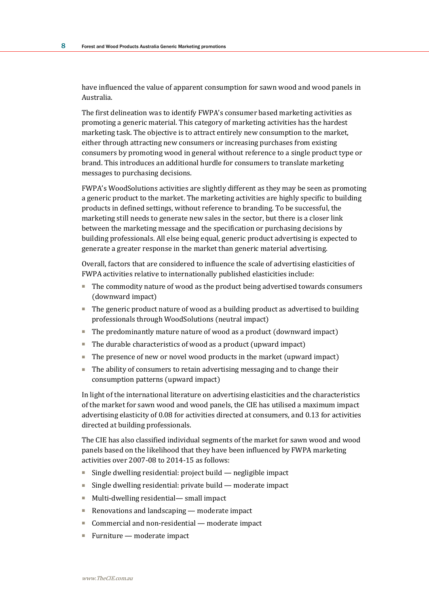have influenced the value of apparent consumption for sawn wood and wood panels in Australia.

The first delineation was to identify FWPA's consumer based marketing activities as promoting a generic material. This category of marketing activities has the hardest marketing task. The objective is to attract entirely new consumption to the market, either through attracting new consumers or increasing purchases from existing consumers by promoting wood in general without reference to a single product type or brand. This introduces an additional hurdle for consumers to translate marketing messages to purchasing decisions.

FWPA's WoodSolutions activities are slightly different as they may be seen as promoting a generic product to the market. The marketing activities are highly specific to building products in defined settings, without reference to branding. To be successful, the marketing still needs to generate new sales in the sector, but there is a closer link between the marketing message and the specification or purchasing decisions by building professionals. All else being equal, generic product advertising is expected to generate a greater response in the market than generic material advertising.

Overall, factors that are considered to influence the scale of advertising elasticities of FWPA activities relative to internationally published elasticities include:

- The commodity nature of wood as the product being advertised towards consumers (downward impact)
- The generic product nature of wood as a building product as advertised to building professionals through WoodSolutions (neutral impact)
- The predominantly mature nature of wood as a product (downward impact)
- The durable characteristics of wood as a product (upward impact)
- The presence of new or novel wood products in the market (upward impact)
- The ability of consumers to retain advertising messaging and to change their consumption patterns (upward impact)

In light of the international literature on advertising elasticities and the characteristics of the market for sawn wood and wood panels, the CIE has utilised a maximum impact advertising elasticity of 0.08 for activities directed at consumers, and 0.13 for activities directed at building professionals.

The CIE has also classified individual segments of the market for sawn wood and wood panels based on the likelihood that they have been influenced by FWPA marketing activities over 2007-08 to 2014-15 as follows:

- Single dwelling residential: project build negligible impact
- Single dwelling residential: private build moderate impact
- Multi-dwelling residential— small impact
- Renovations and landscaping moderate impact
- Commercial and non-residential moderate impact
- Furniture moderate impact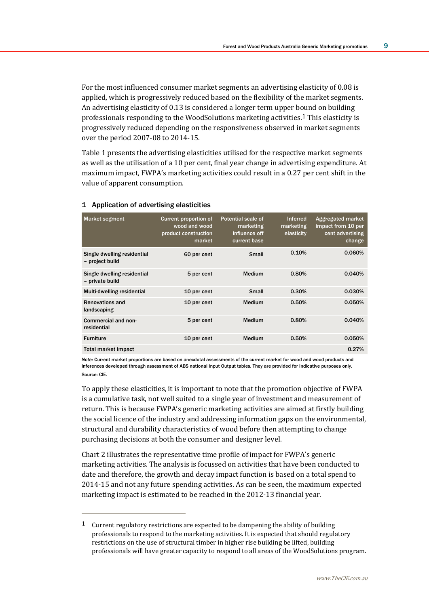For the most influenced consumer market segments an advertising elasticity of 0.08 is applied, which is progressively reduced based on the flexibility of the market segments. An advertising elasticity of 0.13 is considered a longer term upper bound on building professionals responding to the WoodSolutions marketing activities.1 This elasticity is progressively reduced depending on the responsiveness observed in market segments over the period 2007-08 to 2014-15.

Table 1 presents the advertising elasticities utilised for the respective market segments as well as the utilisation of a 10 per cent, final year change in advertising expenditure. At maximum impact, FWPA's marketing activities could result in a 0.27 per cent shift in the value of apparent consumption.

| <b>Market segment</b>                          | <b>Current proportion of</b><br>wood and wood<br>product construction<br>market | <b>Potential scale of</b><br>marketing<br>influence off<br>current base | <b>Inferred</b><br>marketing<br>elasticity | Aggregated market<br>impact from 10 per<br>cent advertising<br>change |
|------------------------------------------------|---------------------------------------------------------------------------------|-------------------------------------------------------------------------|--------------------------------------------|-----------------------------------------------------------------------|
| Single dwelling residential<br>- project build | 60 per cent                                                                     | Small                                                                   | 0.10%                                      | 0.060%                                                                |
| Single dwelling residential<br>- private build | 5 per cent                                                                      | Medium                                                                  | 0.80%                                      | 0.040%                                                                |
| Multi-dwelling residential                     | 10 per cent                                                                     | Small                                                                   | 0.30%                                      | 0.030%                                                                |
| <b>Renovations and</b><br>landscaping          | 10 per cent                                                                     | <b>Medium</b>                                                           | 0.50%                                      | 0.050%                                                                |
| Commercial and non-<br>residential             | 5 per cent                                                                      | <b>Medium</b>                                                           | 0.80%                                      | 0.040%                                                                |
| <b>Furniture</b>                               | 10 per cent                                                                     | Medium                                                                  | 0.50%                                      | 0.050%                                                                |
| <b>Total market impact</b>                     |                                                                                 |                                                                         |                                            | 0.27%                                                                 |

#### 1 Application of advertising elasticities

 $\overline{a}$ 

*Note:* Current market proportions are based on anecdotal assessments of the current market for wood and wood products and inferences developed through assessment of ABS national Input Output tables. They are provided for indicative purposes only. Source: CIE.

To apply these elasticities, it is important to note that the promotion objective of FWPA is a cumulative task, not well suited to a single year of investment and measurement of return. This is because FWPA's generic marketing activities are aimed at firstly building the social licence of the industry and addressing information gaps on the environmental, structural and durability characteristics of wood before then attempting to change purchasing decisions at both the consumer and designer level.

Chart 2 illustrates the representative time profile of impact for FWPA's generic marketing activities. The analysis is focussed on activities that have been conducted to date and therefore, the growth and decay impact function is based on a total spend to 2014-15 and not any future spending activities. As can be seen, the maximum expected marketing impact is estimated to be reached in the 2012-13 financial year.

<sup>1</sup> Current regulatory restrictions are expected to be dampening the ability of building professionals to respond to the marketing activities. It is expected that should regulatory restrictions on the use of structural timber in higher rise building be lifted, building professionals will have greater capacity to respond to all areas of the WoodSolutions program.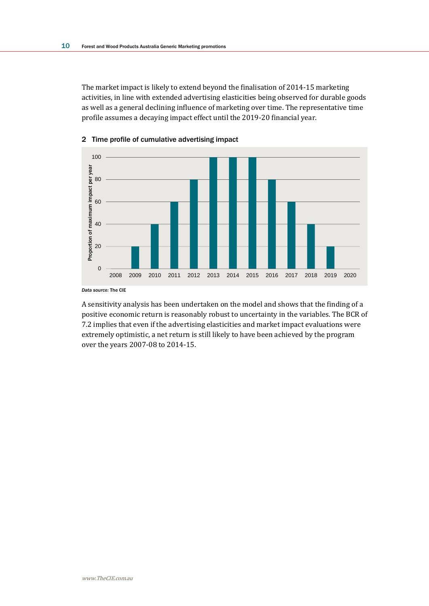The market impact is likely to extend beyond the finalisation of 2014-15 marketing activities, in line with extended advertising elasticities being observed for durable goods as well as a general declining influence of marketing over time. The representative time profile assumes a decaying impact effect until the 2019-20 financial year.



### 2 Time profile of cumulative advertising impact

A sensitivity analysis has been undertaken on the model and shows that the finding of a positive economic return is reasonably robust to uncertainty in the variables. The BCR of 7.2 implies that even if the advertising elasticities and market impact evaluations were extremely optimistic, a net return is still likely to have been achieved by the program over the years 2007-08 to 2014-15.

*Data source:* The CIE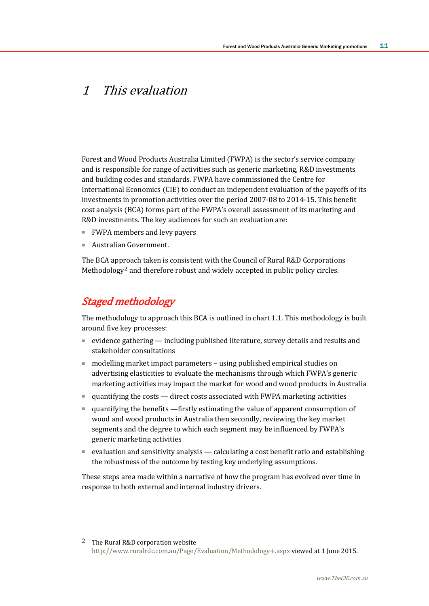# 1 This evaluation

Forest and Wood Products Australia Limited (FWPA) is the sector's service company and is responsible for range of activities such as generic marketing, R&D investments and building codes and standards. FWPA have commissioned the Centre for International Economics (CIE) to conduct an independent evaluation of the payoffs of its investments in promotion activities over the period 2007-08 to 2014-15. This benefit cost analysis (BCA) forms part of the FWPA's overall assessment of its marketing and R&D investments. The key audiences for such an evaluation are:

- FWPA members and levy payers
- Australian Government.

The BCA approach taken is consistent with the Council of Rural R&D Corporations Methodology2 and therefore robust and widely accepted in public policy circles.

# Staged methodology

 $\overline{a}$ 

The methodology to approach this BCA is outlined in chart 1.1. This methodology is built around five key processes:

- evidence gathering including published literature, survey details and results and stakeholder consultations
- modelling market impact parameters using published empirical studies on advertising elasticities to evaluate the mechanisms through which FWPA's generic marketing activities may impact the market for wood and wood products in Australia
- quantifying the costs direct costs associated with FWPA marketing activities
- quantifying the benefits —firstly estimating the value of apparent consumption of wood and wood products in Australia then secondly, reviewing the key market segments and the degree to which each segment may be influenced by FWPA's generic marketing activities
- evaluation and sensitivity analysis calculating a cost benefit ratio and establishing the robustness of the outcome by testing key underlying assumptions.

These steps area made within a narrative of how the program has evolved over time in response to both external and internal industry drivers.

<sup>2</sup> The Rural R&D corporation website <http://www.ruralrdc.com.au/Page/Evaluation/Methodology+.aspx> viewed at 1 June 2015.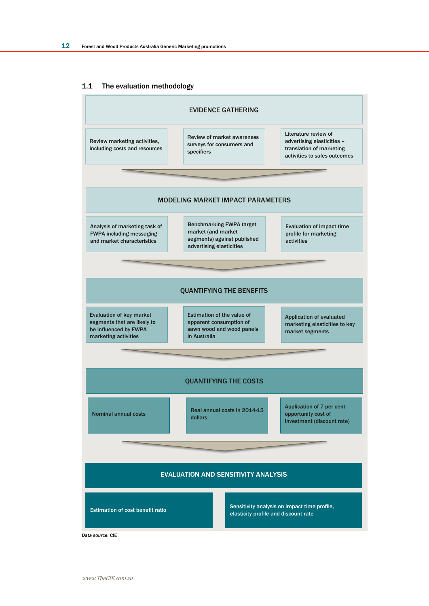#### 1.1 The evaluation methodology



*Data source:* CIE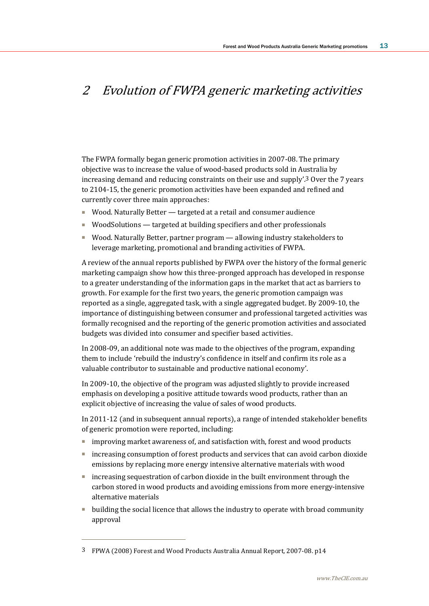# 2 Evolution of FWPA generic marketing activities

The FWPA formally began generic promotion activities in 2007-08. The primary objective was to increase the value of wood-based products sold in Australia by increasing demand and reducing constraints on their use and supply'.3 Over the 7 years to 2104-15, the generic promotion activities have been expanded and refined and currently cover three main approaches:

- Wood. Naturally Better targeted at a retail and consumer audience
- WoodSolutions targeted at building specifiers and other professionals
- Wood. Naturally Better, partner program allowing industry stakeholders to leverage marketing, promotional and branding activities of FWPA.

A review of the annual reports published by FWPA over the history of the formal generic marketing campaign show how this three-pronged approach has developed in response to a greater understanding of the information gaps in the market that act as barriers to growth. For example for the first two years, the generic promotion campaign was reported as a single, aggregated task, with a single aggregated budget. By 2009-10, the importance of distinguishing between consumer and professional targeted activities was formally recognised and the reporting of the generic promotion activities and associated budgets was divided into consumer and specifier based activities.

In 2008-09, an additional note was made to the objectives of the program, expanding them to include 'rebuild the industry's confidence in itself and confirm its role as a valuable contributor to sustainable and productive national economy'.

In 2009-10, the objective of the program was adjusted slightly to provide increased emphasis on developing a positive attitude towards wood products, rather than an explicit objective of increasing the value of sales of wood products.

In 2011-12 (and in subsequent annual reports), a range of intended stakeholder benefits of generic promotion were reported, including:

- improving market awareness of, and satisfaction with, forest and wood products
- increasing consumption of forest products and services that can avoid carbon dioxide emissions by replacing more energy intensive alternative materials with wood
- increasing sequestration of carbon dioxide in the built environment through the carbon stored in wood products and avoiding emissions from more energy-intensive alternative materials
- building the social licence that allows the industry to operate with broad community approval

<sup>3</sup> FPWA (2008) Forest and Wood Products Australia Annual Report, 2007-08. p14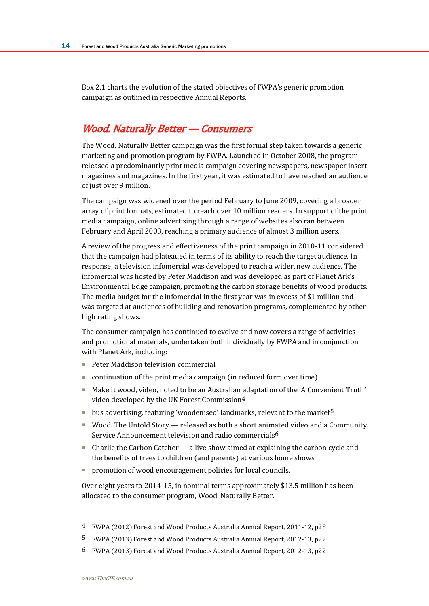Box 2.1 charts the evolution of the stated objectives of FWPA's generic promotion campaign as outlined in respective Annual Reports.

# Wood. Naturally Better — Consumers

The Wood. Naturally Better campaign was the first formal step taken towards a generic marketing and promotion program by FWPA. Launched in October 2008, the program released a predominantly print media campaign covering newspapers, newspaper insert magazines and magazines. In the first year, it was estimated to have reached an audience of just over 9 million.

The campaign was widened over the period February to June 2009, covering a broader array of print formats, estimated to reach over 10 million readers. In support of the print media campaign, online advertising through a range of websites also ran between February and April 2009, reaching a primary audience of almost 3 million users.

A review of the progress and effectiveness of the print campaign in 2010-11 considered that the campaign had plateaued in terms of its ability to reach the target audience. In response, a television infomercial was developed to reach a wider, new audience. The infomercial was hosted by Peter Maddison and was developed as part of Planet Ark's Environmental Edge campaign, promoting the carbon storage benefits of wood products. The media budget for the infomercial in the first year was in excess of \$1 million and was targeted at audiences of building and renovation programs, complemented by other high rating shows.

The consumer campaign has continued to evolve and now covers a range of activities and promotional materials, undertaken both individually by FWPA and in conjunction with Planet Ark, including:

- Peter Maddison television commercial
- continuation of the print media campaign (in reduced form over time)
- Make it wood, video, noted to be an Australian adaptation of the 'A Convenient Truth' video developed by the UK Forest Commission4
- bus advertising, featuring 'woodenised' landmarks, relevant to the market<sup>5</sup>
- Wood. The Untold Story released as both a short animated video and a Community Service Announcement television and radio commercials6
- Charlie the Carbon Catcher a live show aimed at explaining the carbon cycle and the benefits of trees to children (and parents) at various home shows
- promotion of wood encouragement policies for local councils.

Over eight years to 2014-15, in nominal terms approximately \$13.5 million has been allocated to the consumer program, Wood. Naturally Better.

<sup>4</sup> FWPA (2012) Forest and Wood Products Australia Annual Report, 2011-12, p28

<sup>5</sup> FWPA (2013) Forest and Wood Products Australia Annual Report, 2012-13, p22

<sup>6</sup> FWPA (2013) Forest and Wood Products Australia Annual Report, 2012-13, p22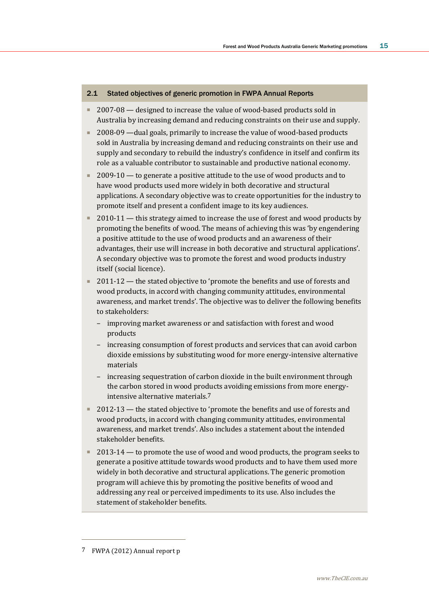#### 2.1 Stated objectives of generic promotion in FWPA Annual Reports

- 2007-08 designed to increase the value of wood-based products sold in Australia by increasing demand and reducing constraints on their use and supply.
- 2008-09 —dual goals, primarily to increase the value of wood-based products sold in Australia by increasing demand and reducing constraints on their use and supply and secondary to rebuild the industry's confidence in itself and confirm its role as a valuable contributor to sustainable and productive national economy.
- 2009-10 to generate a positive attitude to the use of wood products and to have wood products used more widely in both decorative and structural applications. A secondary objective was to create opportunities for the industry to promote itself and present a confident image to its key audiences.
- 2010-11 this strategy aimed to increase the use of forest and wood products by promoting the benefits of wood. The means of achieving this was 'by engendering a positive attitude to the use of wood products and an awareness of their advantages, their use will increase in both decorative and structural applications'. A secondary objective was to promote the forest and wood products industry itself (social licence).
- 2011-12 the stated objective to 'promote the benefits and use of forests and wood products, in accord with changing community attitudes, environmental awareness, and market trends'. The objective was to deliver the following benefits to stakeholders:
	- improving market awareness or and satisfaction with forest and wood products
	- increasing consumption of forest products and services that can avoid carbon dioxide emissions by substituting wood for more energy-intensive alternative materials
	- increasing sequestration of carbon dioxide in the built environment through the carbon stored in wood products avoiding emissions from more energyintensive alternative materials.7
- 2012-13 the stated objective to 'promote the benefits and use of forests and wood products, in accord with changing community attitudes, environmental awareness, and market trends'. Also includes a statement about the intended stakeholder benefits.
- 2013-14 to promote the use of wood and wood products, the program seeks to generate a positive attitude towards wood products and to have them used more widely in both decorative and structural applications. The generic promotion program will achieve this by promoting the positive benefits of wood and addressing any real or perceived impediments to its use. Also includes the statement of stakeholder benefits.

<sup>7</sup> FWPA (2012) Annual report p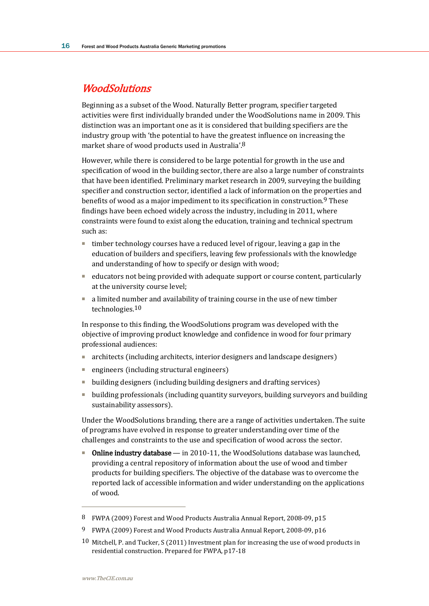## **WoodSolutions**

Beginning as a subset of the Wood. Naturally Better program, specifier targeted activities were first individually branded under the WoodSolutions name in 2009. This distinction was an important one as it is considered that building specifiers are the industry group with 'the potential to have the greatest influence on increasing the market share of wood products used in Australia'.8

However, while there is considered to be large potential for growth in the use and specification of wood in the building sector, there are also a large number of constraints that have been identified. Preliminary market research in 2009, surveying the building specifier and construction sector, identified a lack of information on the properties and benefits of wood as a major impediment to its specification in construction.<sup>9</sup> These findings have been echoed widely across the industry, including in 2011, where constraints were found to exist along the education, training and technical spectrum such as:

- timber technology courses have a reduced level of rigour, leaving a gap in the education of builders and specifiers, leaving few professionals with the knowledge and understanding of how to specify or design with wood;
- educators not being provided with adequate support or course content, particularly at the university course level;
- a limited number and availability of training course in the use of new timber technologies.10

In response to this finding, the WoodSolutions program was developed with the objective of improving product knowledge and confidence in wood for four primary professional audiences:

- architects (including architects, interior designers and landscape designers)
- engineers (including structural engineers)
- building designers (including building designers and drafting services)
- building professionals (including quantity surveyors, building surveyors and building sustainability assessors).

Under the WoodSolutions branding, there are a range of activities undertaken. The suite of programs have evolved in response to greater understanding over time of the challenges and constraints to the use and specification of wood across the sector.

**Diam Online industry database** — in 2010-11, the WoodSolutions database was launched, providing a central repository of information about the use of wood and timber products for building specifiers. The objective of the database was to overcome the reported lack of accessible information and wider understanding on the applications of wood.

<sup>8</sup> FWPA (2009) Forest and Wood Products Australia Annual Report, 2008-09, p15

<sup>9</sup> FWPA (2009) Forest and Wood Products Australia Annual Report, 2008-09, p16

<sup>10</sup> Mitchell, P. and Tucker, S (2011) Investment plan for increasing the use of wood products in residential construction. Prepared for FWPA, p17-18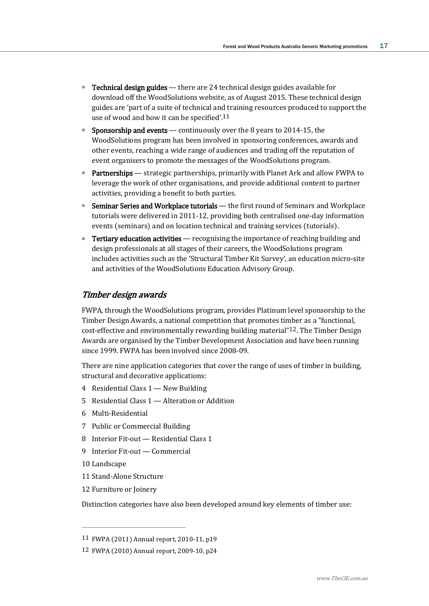- Technical design guides there are 24 technical design guides available for download off the WoodSolutions website, as of August 2015. These technical design guides are 'part of a suite of technical and training resources produced to support the use of wood and how it can be specified'.11
- Sponsorship and events continuously over the 8 years to 2014-15, the WoodSolutions program has been involved in sponsoring conferences, awards and other events, reaching a wide range of audiences and trading off the reputation of event organisers to promote the messages of the WoodSolutions program.
- Partnerships strategic partnerships, primarily with Planet Ark and allow FWPA to leverage the work of other organisations, and provide additional content to partner activities, providing a benefit to both parties.
- Seminar Series and Workplace tutorials the first round of Seminars and Workplace tutorials were delivered in 2011-12, providing both centralised one-day information events (seminars) and on location technical and training services (tutorials).
- **Tertiary education activities** recognising the importance of reaching building and design professionals at all stages of their careers, the WoodSolutions program includes activities such as the 'Structural Timber Kit Survey', an education micro-site and activities of the WoodSolutions Education Advisory Group.

### Timber design awards

FWPA, through the WoodSolutions program, provides Platinum level sponsorship to the Timber Design Awards, a national competition that promotes timber as a "functional, cost-effective and environmentally rewarding building material"12. The Timber Design Awards are organised by the Timber Development Association and have been running since 1999. FWPA has been involved since 2008-09.

There are nine application categories that cover the range of uses of timber in building, structural and decorative applications:

- 4 Residential Class 1 New Building
- 5 Residential Class 1 Alteration or Addition
- 6 Multi-Residential
- 7 Public or Commercial Building
- 8 Interior Fit-out Residential Class 1
- 9 Interior Fit-out Commercial
- 10 Landscape

 $\overline{a}$ 

- 11 Stand-Alone Structure
- 12 Furniture or Joinery

Distinction categories have also been developed around key elements of timber use:

<sup>11</sup> FWPA (2011) Annual report, 2010-11, p19

<sup>12</sup> FWPA (2010) Annual report, 2009-10, p24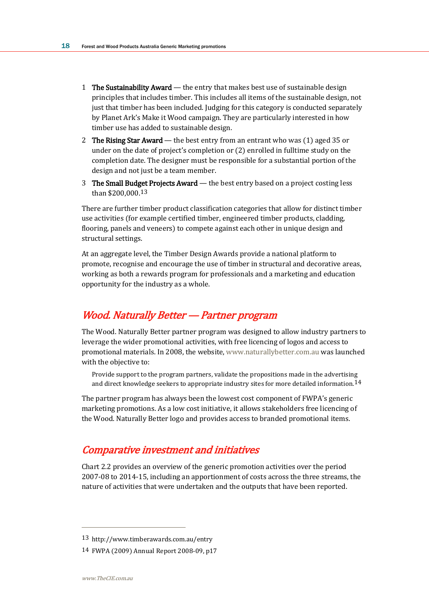- 1 The Sustainability Award the entry that makes best use of sustainable design principles that includes timber. This includes all items of the sustainable design, not just that timber has been included. Judging for this category is conducted separately by Planet Ark's Make it Wood campaign. They are particularly interested in how timber use has added to sustainable design.
- 2 The Rising Star Award the best entry from an entrant who was  $(1)$  aged 35 or under on the date of project's completion or (2) enrolled in fulltime study on the completion date. The designer must be responsible for a substantial portion of the design and not just be a team member.
- 3 The Small Budget Projects Award the best entry based on a project costing less than \$200,000.13

There are further timber product classification categories that allow for distinct timber use activities (for example certified timber, engineered timber products, cladding, flooring, panels and veneers) to compete against each other in unique design and structural settings.

At an aggregate level, the Timber Design Awards provide a national platform to promote, recognise and encourage the use of timber in structural and decorative areas, working as both a rewards program for professionals and a marketing and education opportunity for the industry as a whole.

## Wood. Naturally Better — Partner program

The Wood. Naturally Better partner program was designed to allow industry partners to leverage the wider promotional activities, with free licencing of logos and access to promotional materials. In 2008, the website, [www.naturallybetter.com.au](http://www.naturallybetter.com.au/) was launched with the objective to:

Provide support to the program partners, validate the propositions made in the advertising and direct knowledge seekers to appropriate industry sites for more detailed information.  $14$ 

The partner program has always been the lowest cost component of FWPA's generic marketing promotions. As a low cost initiative, it allows stakeholders free licencing of the Wood. Naturally Better logo and provides access to branded promotional items.

## Comparative investment and initiatives

Chart 2.2 provides an overview of the generic promotion activities over the period 2007-08 to 2014-15, including an apportionment of costs across the three streams, the nature of activities that were undertaken and the outputs that have been reported.

<sup>13</sup> http://www.timberawards.com.au/entry

<sup>14</sup> FWPA (2009) Annual Report 2008-09, p17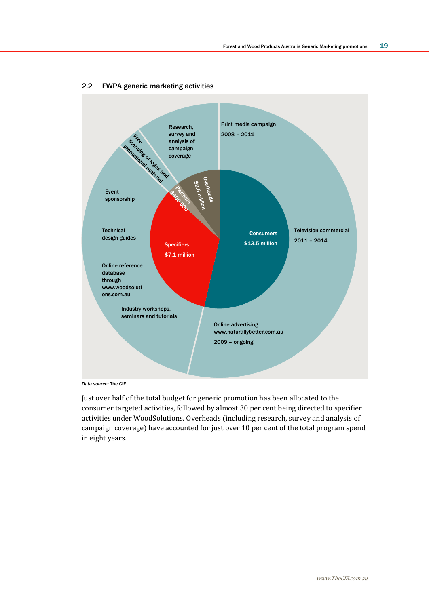

#### 2.2 FWPA generic marketing activities

*Data source:* The CIE

Just over half of the total budget for generic promotion has been allocated to the consumer targeted activities, followed by almost 30 per cent being directed to specifier activities under WoodSolutions. Overheads (including research, survey and analysis of campaign coverage) have accounted for just over 10 per cent of the total program spend in eight years.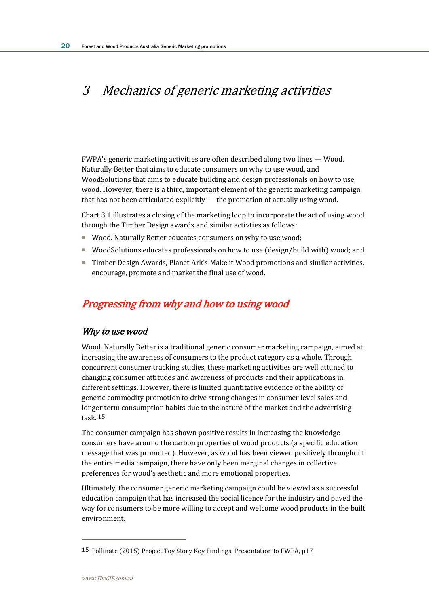# 3 Mechanics of generic marketing activities

FWPA's generic marketing activities are often described along two lines — Wood. Naturally Better that aims to educate consumers on why to use wood, and WoodSolutions that aims to educate building and design professionals on how to use wood. However, there is a third, important element of the generic marketing campaign that has not been articulated explicitly — the promotion of actually using wood.

Chart 3.1 illustrates a closing of the marketing loop to incorporate the act of using wood through the Timber Design awards and similar activties as follows:

- Wood. Naturally Better educates consumers on why to use wood;
- WoodSolutions educates professionals on how to use (design/build with) wood; and
- Timber Design Awards, Planet Ark's Make it Wood promotions and similar activities, encourage, promote and market the final use of wood.

# Progressing from why and how to using wood

### Why to use wood

Wood. Naturally Better is a traditional generic consumer marketing campaign, aimed at increasing the awareness of consumers to the product category as a whole. Through concurrent consumer tracking studies, these marketing activities are well attuned to changing consumer attitudes and awareness of products and their applications in different settings. However, there is limited quantitative evidence of the ability of generic commodity promotion to drive strong changes in consumer level sales and longer term consumption habits due to the nature of the market and the advertising task. 15

The consumer campaign has shown positive results in increasing the knowledge consumers have around the carbon properties of wood products (a specific education message that was promoted). However, as wood has been viewed positively throughout the entire media campaign, there have only been marginal changes in collective preferences for wood's aesthetic and more emotional properties.

Ultimately, the consumer generic marketing campaign could be viewed as a successful education campaign that has increased the social licence for the industry and paved the way for consumers to be more willing to accept and welcome wood products in the built environment.

<sup>15</sup> Pollinate (2015) Project Toy Story Key Findings. Presentation to FWPA, p17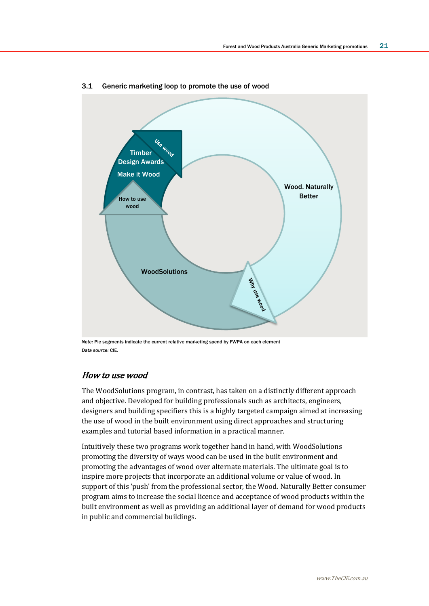

#### 3.1 Generic marketing loop to promote the use of wood

*Note:* Pie segments indicate the current relative marketing spend by FWPA on each element *Data source:* CIE.

### How to use wood

The WoodSolutions program, in contrast, has taken on a distinctly different approach and objective. Developed for building professionals such as architects, engineers, designers and building specifiers this is a highly targeted campaign aimed at increasing the use of wood in the built environment using direct approaches and structuring examples and tutorial based information in a practical manner.

Intuitively these two programs work together hand in hand, with WoodSolutions promoting the diversity of ways wood can be used in the built environment and promoting the advantages of wood over alternate materials. The ultimate goal is to inspire more projects that incorporate an additional volume or value of wood. In support of this 'push' from the professional sector, the Wood. Naturally Better consumer program aims to increase the social licence and acceptance of wood products within the built environment as well as providing an additional layer of demand for wood products in public and commercial buildings.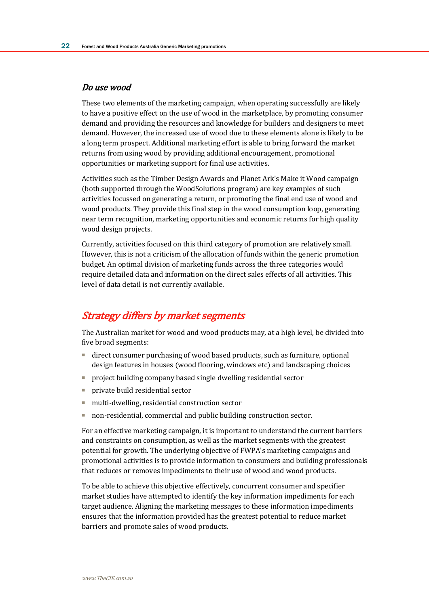### Do use wood

These two elements of the marketing campaign, when operating successfully are likely to have a positive effect on the use of wood in the marketplace, by promoting consumer demand and providing the resources and knowledge for builders and designers to meet demand. However, the increased use of wood due to these elements alone is likely to be a long term prospect. Additional marketing effort is able to bring forward the market returns from using wood by providing additional encouragement, promotional opportunities or marketing support for final use activities.

Activities such as the Timber Design Awards and Planet Ark's Make it Wood campaign (both supported through the WoodSolutions program) are key examples of such activities focussed on generating a return, or promoting the final end use of wood and wood products. They provide this final step in the wood consumption loop, generating near term recognition, marketing opportunities and economic returns for high quality wood design projects.

Currently, activities focused on this third category of promotion are relatively small. However, this is not a criticism of the allocation of funds within the generic promotion budget. An optimal division of marketing funds across the three categories would require detailed data and information on the direct sales effects of all activities. This level of data detail is not currently available.

## Strategy differs by market segments

The Australian market for wood and wood products may, at a high level, be divided into five broad segments:

- direct consumer purchasing of wood based products, such as furniture, optional design features in houses (wood flooring, windows etc) and landscaping choices
- project building company based single dwelling residential sector
- private build residential sector
- multi-dwelling, residential construction sector
- non-residential, commercial and public building construction sector.

For an effective marketing campaign, it is important to understand the current barriers and constraints on consumption, as well as the market segments with the greatest potential for growth. The underlying objective of FWPA's marketing campaigns and promotional activities is to provide information to consumers and building professionals that reduces or removes impediments to their use of wood and wood products.

To be able to achieve this objective effectively, concurrent consumer and specifier market studies have attempted to identify the key information impediments for each target audience. Aligning the marketing messages to these information impediments ensures that the information provided has the greatest potential to reduce market barriers and promote sales of wood products.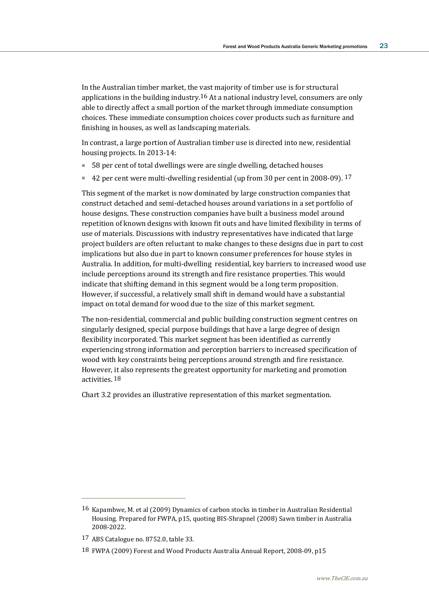In the Australian timber market, the vast majority of timber use is for structural applications in the building industry.<sup>16</sup> At a national industry level, consumers are only able to directly affect a small portion of the market through immediate consumption choices. These immediate consumption choices cover products such as furniture and finishing in houses, as well as landscaping materials.

In contrast, a large portion of Australian timber use is directed into new, residential housing projects. In 2013-14:

- 58 per cent of total dwellings were are single dwelling, detached houses
- 42 per cent were multi-dwelling residential (up from 30 per cent in 2008-09). 17

This segment of the market is now dominated by large construction companies that construct detached and semi-detached houses around variations in a set portfolio of house designs. These construction companies have built a business model around repetition of known designs with known fit outs and have limited flexibility in terms of use of materials. Discussions with industry representatives have indicated that large project builders are often reluctant to make changes to these designs due in part to cost implications but also due in part to known consumer preferences for house styles in Australia. In addition, for multi-dwelling residential, key barriers to increased wood use include perceptions around its strength and fire resistance properties. This would indicate that shifting demand in this segment would be a long term proposition. However, if successful, a relatively small shift in demand would have a substantial impact on total demand for wood due to the size of this market segment.

The non-residential, commercial and public building construction segment centres on singularly designed, special purpose buildings that have a large degree of design flexibility incorporated. This market segment has been identified as currently experiencing strong information and perception barriers to increased specification of wood with key constraints being perceptions around strength and fire resistance. However, it also represents the greatest opportunity for marketing and promotion activities. 18

Chart 3.2 provides an illustrative representation of this market segmentation.

<sup>16</sup> Kapambwe, M. et al (2009) Dynamics of carbon stocks in timber in Australian Residential Housing. Prepared for FWPA, p15, quoting BIS-Shrapnel (2008) Sawn timber in Australia 2008-2022.

<sup>17</sup> ABS Catalogue no. 8752.0, table 33.

<sup>18</sup> FWPA (2009) Forest and Wood Products Australia Annual Report, 2008-09, p15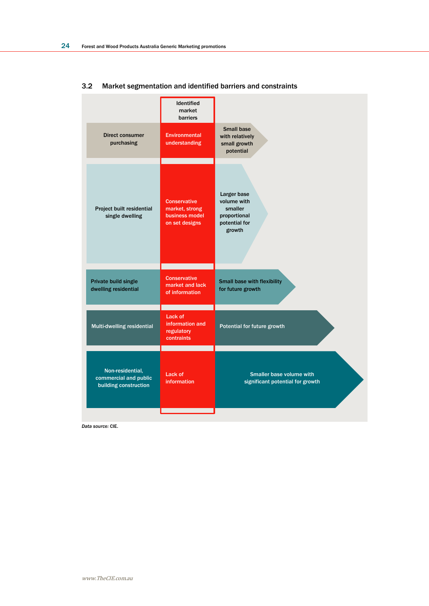|                                                                    | <b>Identified</b><br>market<br>barriers                                   |                                                                                  |
|--------------------------------------------------------------------|---------------------------------------------------------------------------|----------------------------------------------------------------------------------|
| <b>Direct consumer</b><br>purchasing                               | <b>Environmental</b><br>understanding                                     | <b>Small base</b><br>with relatively<br>small growth<br>potential                |
| Project built residential<br>single dwelling                       | <b>Conservative</b><br>market, strong<br>business model<br>on set designs | Larger base<br>volume with<br>smaller<br>proportional<br>potential for<br>growth |
| Private build single<br>dwelling residential                       | <b>Conservative</b><br>market and lack<br>of information                  | Small base with flexibility<br>for future growth                                 |
| Multi-dwelling residential                                         | Lack of<br>information and<br>regulatory<br>contraints                    | Potential for future growth                                                      |
| Non-residential,<br>commercial and public<br>building construction | Lack of<br><b>information</b>                                             | Smaller base volume with<br>significant potential for growth                     |
|                                                                    |                                                                           |                                                                                  |

### 3.2 Market segmentation and identified barriers and constraints

*Data source:* CIE.

www.TheCIE.com.au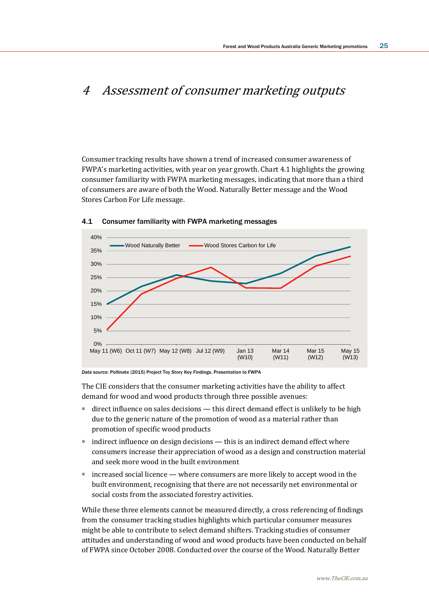# 4 Assessment of consumer marketing outputs

Consumer tracking results have shown a trend of increased consumer awareness of FWPA's marketing activities, with year on year growth. Chart 4.1 highlights the growing consumer familiarity with FWPA marketing messages, indicating that more than a third of consumers are aware of both the Wood. Naturally Better message and the Wood Stores Carbon For Life message.



#### 4.1 Consumer familiarity with FWPA marketing messages

*Data source:* Pollinate (2015) Project Toy Story Key Findings. Presentation to FWPA

The CIE considers that the consumer marketing activities have the ability to affect demand for wood and wood products through three possible avenues:

- direct influence on sales decisions this direct demand effect is unlikely to be high due to the generic nature of the promotion of wood as a material rather than promotion of specific wood products
- indirect influence on design decisions this is an indirect demand effect where consumers increase their appreciation of wood as a design and construction material and seek more wood in the built environment
- increased social licence where consumers are more likely to accept wood in the built environment, recognising that there are not necessarily net environmental or social costs from the associated forestry activities.

While these three elements cannot be measured directly, a cross referencing of findings from the consumer tracking studies highlights which particular consumer measures might be able to contribute to select demand shifters. Tracking studies of consumer attitudes and understanding of wood and wood products have been conducted on behalf of FWPA since October 2008. Conducted over the course of the Wood. Naturally Better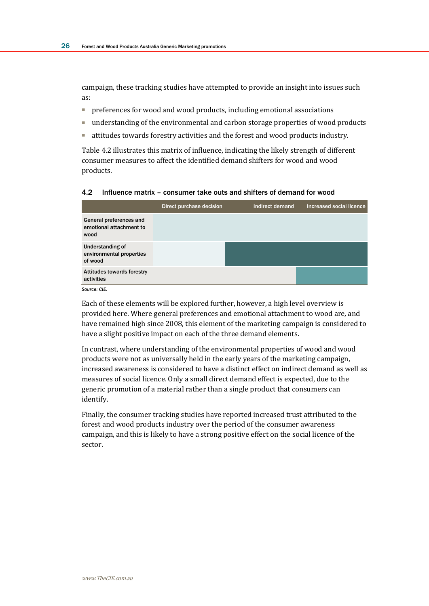campaign, these tracking studies have attempted to provide an insight into issues such as:

- preferences for wood and wood products, including emotional associations
- understanding of the environmental and carbon storage properties of wood products
- attitudes towards forestry activities and the forest and wood products industry.

Table 4.2 illustrates this matrix of influence, indicating the likely strength of different consumer measures to affect the identified demand shifters for wood and wood products.

#### 4.2 Influence matrix – consumer take outs and shifters of demand for wood

|                                                                | Direct purchase decision | Indirect demand | Increased social licence |
|----------------------------------------------------------------|--------------------------|-----------------|--------------------------|
| General preferences and<br>emotional attachment to<br>wood     |                          |                 |                          |
| <b>Understanding of</b><br>environmental properties<br>of wood |                          |                 |                          |
| <b>Attitudes towards forestry</b><br>activities                |                          |                 |                          |
| Source: CIF.                                                   |                          |                 |                          |

Each of these elements will be explored further, however, a high level overview is provided here. Where general preferences and emotional attachment to wood are, and have remained high since 2008, this element of the marketing campaign is considered to have a slight positive impact on each of the three demand elements.

In contrast, where understanding of the environmental properties of wood and wood products were not as universally held in the early years of the marketing campaign, increased awareness is considered to have a distinct effect on indirect demand as well as measures of social licence. Only a small direct demand effect is expected, due to the generic promotion of a material rather than a single product that consumers can identify.

Finally, the consumer tracking studies have reported increased trust attributed to the forest and wood products industry over the period of the consumer awareness campaign, and this is likely to have a strong positive effect on the social licence of the sector.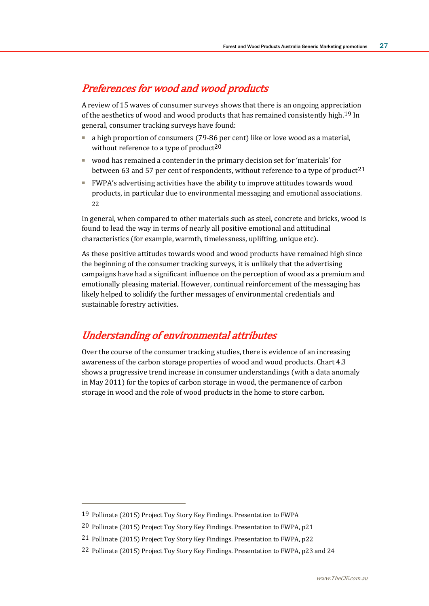# Preferences for wood and wood products

A review of 15 waves of consumer surveys shows that there is an ongoing appreciation of the aesthetics of wood and wood products that has remained consistently high.19 In general, consumer tracking surveys have found:

- a high proportion of consumers (79-86 per cent) like or love wood as a material, without reference to a type of product<sup>20</sup>
- wood has remained a contender in the primary decision set for 'materials' for between 63 and 57 per cent of respondents, without reference to a type of product  $21$
- FWPA's advertising activities have the ability to improve attitudes towards wood products, in particular due to environmental messaging and emotional associations. 22

In general, when compared to other materials such as steel, concrete and bricks, wood is found to lead the way in terms of nearly all positive emotional and attitudinal characteristics (for example, warmth, timelessness, uplifting, unique etc).

As these positive attitudes towards wood and wood products have remained high since the beginning of the consumer tracking surveys, it is unlikely that the advertising campaigns have had a significant influence on the perception of wood as a premium and emotionally pleasing material. However, continual reinforcement of the messaging has likely helped to solidify the further messages of environmental credentials and sustainable forestry activities.

# Understanding of environmental attributes

Over the course of the consumer tracking studies, there is evidence of an increasing awareness of the carbon storage properties of wood and wood products. Chart 4.3 shows a progressive trend increase in consumer understandings (with a data anomaly in May 2011) for the topics of carbon storage in wood, the permanence of carbon storage in wood and the role of wood products in the home to store carbon.

<sup>19</sup> Pollinate (2015) Project Toy Story Key Findings. Presentation to FWPA

<sup>20</sup> Pollinate (2015) Project Toy Story Key Findings. Presentation to FWPA, p21

<sup>21</sup> Pollinate (2015) Project Toy Story Key Findings. Presentation to FWPA, p22

<sup>22</sup> Pollinate (2015) Project Toy Story Key Findings. Presentation to FWPA, p23 and 24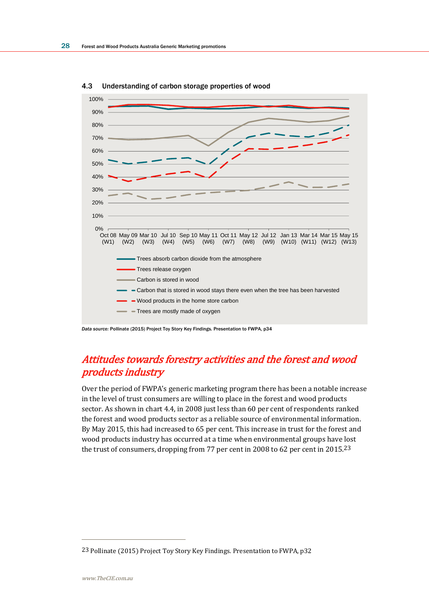

4.3 Understanding of carbon storage properties of wood

# Attitudes towards forestry activities and the forest and wood products industry

Over the period of FWPA's generic marketing program there has been a notable increase in the level of trust consumers are willing to place in the forest and wood products sector. As shown in chart 4.4, in 2008 just less than 60 per cent of respondents ranked the forest and wood products sector as a reliable source of environmental information. By May 2015, this had increased to 65 per cent. This increase in trust for the forest and wood products industry has occurred at a time when environmental groups have lost the trust of consumers, dropping from 77 per cent in 2008 to 62 per cent in 2015.23

*Data source:* Pollinate (2015) Project Toy Story Key Findings. Presentation to FWPA, p34

<sup>23</sup> Pollinate (2015) Project Toy Story Key Findings. Presentation to FWPA, p32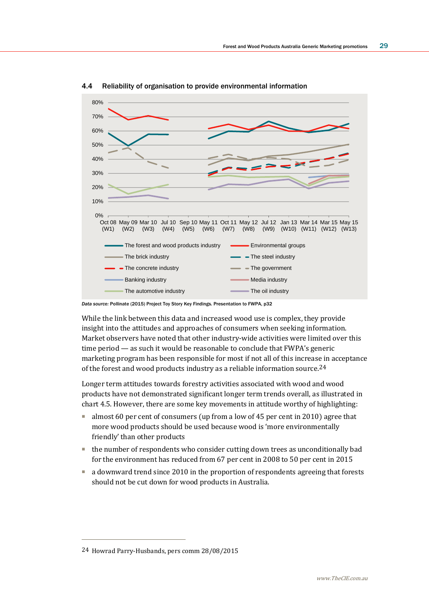

4.4 Reliability of organisation to provide environmental information

*Data source:* Pollinate (2015) Project Toy Story Key Findings. Presentation to FWPA, p32

While the link between this data and increased wood use is complex, they provide insight into the attitudes and approaches of consumers when seeking information. Market observers have noted that other industry-wide activities were limited over this time period — as such it would be reasonable to conclude that FWPA's generic marketing program has been responsible for most if not all of this increase in acceptance of the forest and wood products industry as a reliable information source.24

Longer term attitudes towards forestry activities associated with wood and wood products have not demonstrated significant longer term trends overall, as illustrated in chart 4.5. However, there are some key movements in attitude worthy of highlighting:

- almost 60 per cent of consumers (up from a low of 45 per cent in 2010) agree that more wood products should be used because wood is 'more environmentally friendly' than other products
- the number of respondents who consider cutting down trees as unconditionally bad for the environment has reduced from 67 per cent in 2008 to 50 per cent in 2015
- a downward trend since 2010 in the proportion of respondents agreeing that forests should not be cut down for wood products in Australia.

<sup>24</sup> Howrad Parry-Husbands, pers comm 28/08/2015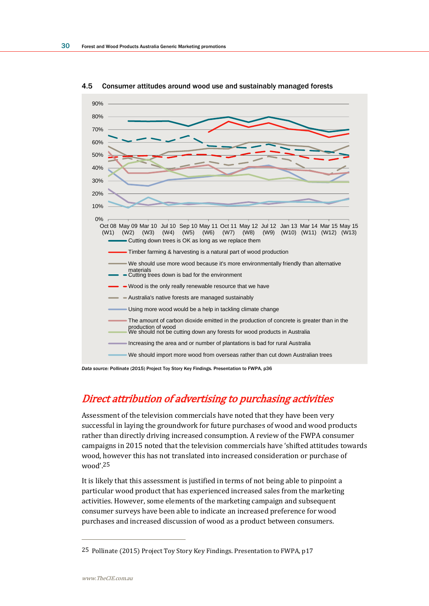

4.5 Consumer attitudes around wood use and sustainably managed forests

*Data source:* Pollinate (2015) Project Toy Story Key Findings. Presentation to FWPA, p36

# Direct attribution of advertising to purchasing activities

Assessment of the television commercials have noted that they have been very successful in laying the groundwork for future purchases of wood and wood products rather than directly driving increased consumption. A review of the FWPA consumer campaigns in 2015 noted that the television commercials have 'shifted attitudes towards wood, however this has not translated into increased consideration or purchase of wood'.25

It is likely that this assessment is justified in terms of not being able to pinpoint a particular wood product that has experienced increased sales from the marketing activities. However, some elements of the marketing campaign and subsequent consumer surveys have been able to indicate an increased preference for wood purchases and increased discussion of wood as a product between consumers.

<sup>25</sup> Pollinate (2015) Project Toy Story Key Findings. Presentation to FWPA, p17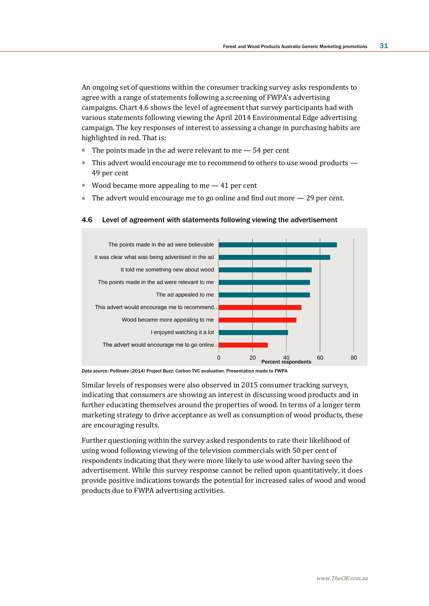An ongoing set of questions within the consumer tracking survey asks respondents to agree with a range of statements following a screening of FWPA's advertising campaigns. Chart 4.6 shows the level of agreement that survey participants had with various statements following viewing the April 2014 Environmental Edge advertising campaign. The key responses of interest to assessing a change in purchasing habits are highlighted in red. That is:

- $\blacksquare$  The points made in the ad were relevant to me  $-$  54 per cent
- This advert would encourage me to recommend to others to use wood products 49 per cent
- Wood became more appealing to me  $-41$  per cent
- $\blacksquare$  The advert would encourage me to go online and find out more  $-29$  per cent.

#### 4.6 Level of agreement with statements following viewing the advertisement



*Data source:* Pollinate (2014) Project Buzz: Carbon TVC evaluation. Presentation made to FWPA

Similar levels of responses were also observed in 2015 consumer tracking surveys, indicating that consumers are showing an interest in discussing wood products and in further educating themselves around the properties of wood. In terms of a longer term marketing strategy to drive acceptance as well as consumption of wood products, these are encouraging results.

Further questioning within the survey asked respondents to rate their likelihood of using wood following viewing of the television commercials with 50 per cent of respondents indicating that they were more likely to use wood after having seen the advertisement. While this survey response cannot be relied upon quantitatively, it does provide positive indications towards the potential for increased sales of wood and wood products due to FWPA advertising activities.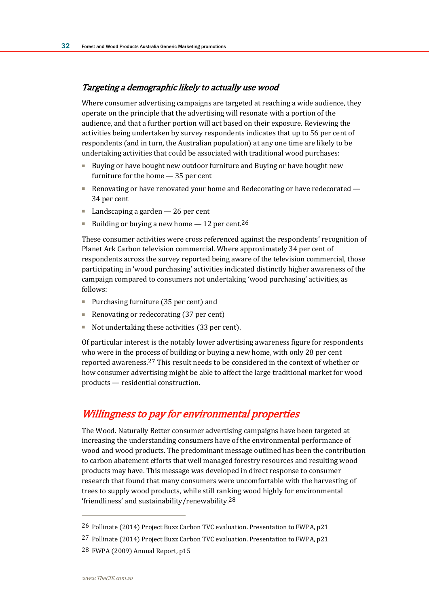### Targeting a demographic likely to actually use wood

Where consumer advertising campaigns are targeted at reaching a wide audience, they operate on the principle that the advertising will resonate with a portion of the audience, and that a further portion will act based on their exposure. Reviewing the activities being undertaken by survey respondents indicates that up to 56 per cent of respondents (and in turn, the Australian population) at any one time are likely to be undertaking activities that could be associated with traditional wood purchases:

- Buying or have bought new outdoor furniture and Buying or have bought new furniture for the home — 35 per cent
- Renovating or have renovated your home and Redecorating or have redecorated 34 per cent
- Landscaping a garden 26 per cent
- Building or buying a new home 12 per cent.<sup>26</sup>

These consumer activities were cross referenced against the respondents' recognition of Planet Ark Carbon television commercial. Where approximately 34 per cent of respondents across the survey reported being aware of the television commercial, those participating in 'wood purchasing' activities indicated distinctly higher awareness of the campaign compared to consumers not undertaking 'wood purchasing' activities, as follows:

- Purchasing furniture (35 per cent) and
- Renovating or redecorating (37 per cent)
- Not undertaking these activities (33 per cent).

Of particular interest is the notably lower advertising awareness figure for respondents who were in the process of building or buying a new home, with only 28 per cent reported awareness.27 This result needs to be considered in the context of whether or how consumer advertising might be able to affect the large traditional market for wood products — residential construction.

## Willingness to pay for environmental properties

The Wood. Naturally Better consumer advertising campaigns have been targeted at increasing the understanding consumers have of the environmental performance of wood and wood products. The predominant message outlined has been the contribution to carbon abatement efforts that well managed forestry resources and resulting wood products may have. This message was developed in direct response to consumer research that found that many consumers were uncomfortable with the harvesting of trees to supply wood products, while still ranking wood highly for environmental 'friendliness' and sustainability/renewability.28

28 FWPA (2009) Annual Report, p15

<sup>26</sup> Pollinate (2014) Project Buzz Carbon TVC evaluation. Presentation to FWPA, p21

<sup>27</sup> Pollinate (2014) Project Buzz Carbon TVC evaluation. Presentation to FWPA, p21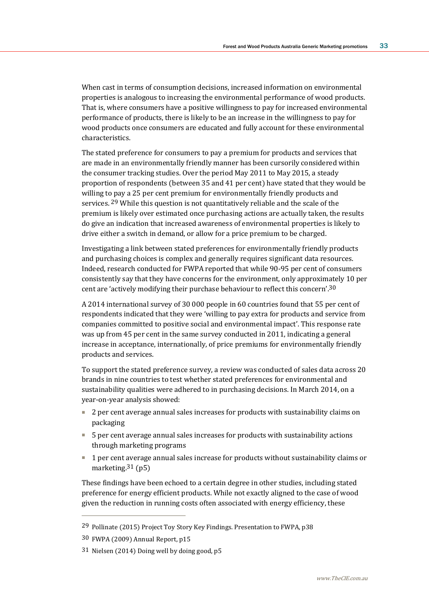When cast in terms of consumption decisions, increased information on environmental properties is analogous to increasing the environmental performance of wood products. That is, where consumers have a positive willingness to pay for increased environmental performance of products, there is likely to be an increase in the willingness to pay for wood products once consumers are educated and fully account for these environmental characteristics.

The stated preference for consumers to pay a premium for products and services that are made in an environmentally friendly manner has been cursorily considered within the consumer tracking studies. Over the period May 2011 to May 2015, a steady proportion of respondents (between 35 and 41 per cent) have stated that they would be willing to pay a 25 per cent premium for environmentally friendly products and services. 29 While this question is not quantitatively reliable and the scale of the premium is likely over estimated once purchasing actions are actually taken, the results do give an indication that increased awareness of environmental properties is likely to drive either a switch in demand, or allow for a price premium to be charged.

Investigating a link between stated preferences for environmentally friendly products and purchasing choices is complex and generally requires significant data resources. Indeed, research conducted for FWPA reported that while 90-95 per cent of consumers consistently say that they have concerns for the environment, only approximately 10 per cent are 'actively modifying their purchase behaviour to reflect this concern'.30

A 2014 international survey of 30 000 people in 60 countries found that 55 per cent of respondents indicated that they were 'willing to pay extra for products and service from companies committed to positive social and environmental impact'. This response rate was up from 45 per cent in the same survey conducted in 2011, indicating a general increase in acceptance, internationally, of price premiums for environmentally friendly products and services.

To support the stated preference survey, a review was conducted of sales data across 20 brands in nine countries to test whether stated preferences for environmental and sustainability qualities were adhered to in purchasing decisions. In March 2014, on a year-on-year analysis showed:

- 2 per cent average annual sales increases for products with sustainability claims on packaging
- 5 per cent average annual sales increases for products with sustainability actions through marketing programs
- 1 per cent average annual sales increase for products without sustainability claims or marketing.<sup>31</sup> (p5)

These findings have been echoed to a certain degree in other studies, including stated preference for energy efficient products. While not exactly aligned to the case of wood given the reduction in running costs often associated with energy efficiency, these

<sup>29</sup> Pollinate (2015) Project Toy Story Key Findings. Presentation to FWPA, p38

<sup>30</sup> FWPA (2009) Annual Report, p15

<sup>31</sup> Nielsen (2014) Doing well by doing good, p5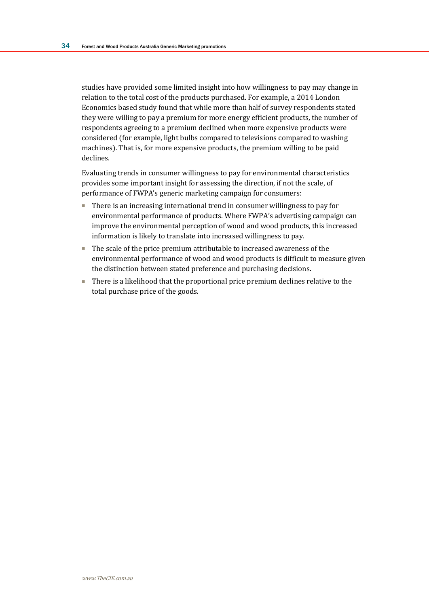studies have provided some limited insight into how willingness to pay may change in relation to the total cost of the products purchased. For example, a 2014 London Economics based study found that while more than half of survey respondents stated they were willing to pay a premium for more energy efficient products, the number of respondents agreeing to a premium declined when more expensive products were considered (for example, light bulbs compared to televisions compared to washing machines). That is, for more expensive products, the premium willing to be paid declines.

Evaluating trends in consumer willingness to pay for environmental characteristics provides some important insight for assessing the direction, if not the scale, of performance of FWPA's generic marketing campaign for consumers:

- There is an increasing international trend in consumer willingness to pay for environmental performance of products. Where FWPA's advertising campaign can improve the environmental perception of wood and wood products, this increased information is likely to translate into increased willingness to pay.
- The scale of the price premium attributable to increased awareness of the environmental performance of wood and wood products is difficult to measure given the distinction between stated preference and purchasing decisions.
- There is a likelihood that the proportional price premium declines relative to the total purchase price of the goods.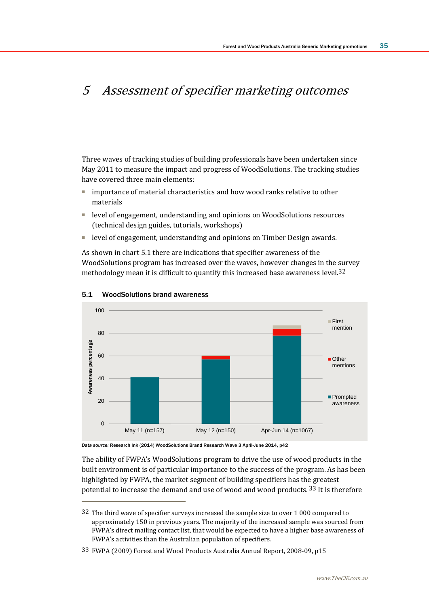# 5 Assessment of specifier marketing outcomes

Three waves of tracking studies of building professionals have been undertaken since May 2011 to measure the impact and progress of WoodSolutions. The tracking studies have covered three main elements:

- importance of material characteristics and how wood ranks relative to other materials
- level of engagement, understanding and opinions on WoodSolutions resources (technical design guides, tutorials, workshops)
- level of engagement, understanding and opinions on Timber Design awards.

As shown in chart 5.1 there are indications that specifier awareness of the WoodSolutions program has increased over the waves, however changes in the survey methodology mean it is difficult to quantify this increased base awareness level.32



#### 5.1 WoodSolutions brand awareness

 $\overline{a}$ 

*Data source:* Research Ink (2014) WoodSolutions Brand Research Wave 3 April-June 2014, p42

The ability of FWPA's WoodSolutions program to drive the use of wood products in the built environment is of particular importance to the success of the program. As has been highlighted by FWPA, the market segment of building specifiers has the greatest potential to increase the demand and use of wood and wood products. 33 It is therefore

<sup>32</sup> The third wave of specifier surveys increased the sample size to over 1 000 compared to approximately 150 in previous years. The majority of the increased sample was sourced from FWPA's direct mailing contact list, that would be expected to have a higher base awareness of FWPA's activities than the Australian population of specifiers.

<sup>33</sup> FWPA (2009) Forest and Wood Products Australia Annual Report, 2008-09, p15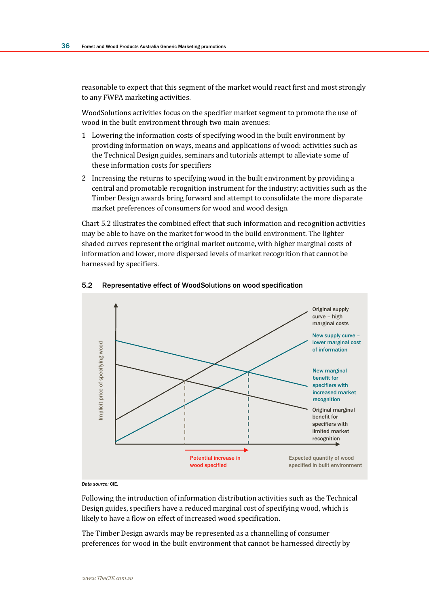reasonable to expect that this segment of the market would react first and most strongly to any FWPA marketing activities.

WoodSolutions activities focus on the specifier market segment to promote the use of wood in the built environment through two main avenues:

- 1 Lowering the information costs of specifying wood in the built environment by providing information on ways, means and applications of wood: activities such as the Technical Design guides, seminars and tutorials attempt to alleviate some of these information costs for specifiers
- 2 Increasing the returns to specifying wood in the built environment by providing a central and promotable recognition instrument for the industry: activities such as the Timber Design awards bring forward and attempt to consolidate the more disparate market preferences of consumers for wood and wood design.

Chart 5.2 illustrates the combined effect that such information and recognition activities may be able to have on the market for wood in the build environment. The lighter shaded curves represent the original market outcome, with higher marginal costs of information and lower, more dispersed levels of market recognition that cannot be harnessed by specifiers.



#### 5.2 Representative effect of WoodSolutions on wood specification

*Data source:* CIE.

Following the introduction of information distribution activities such as the Technical Design guides, specifiers have a reduced marginal cost of specifying wood, which is likely to have a flow on effect of increased wood specification.

The Timber Design awards may be represented as a channelling of consumer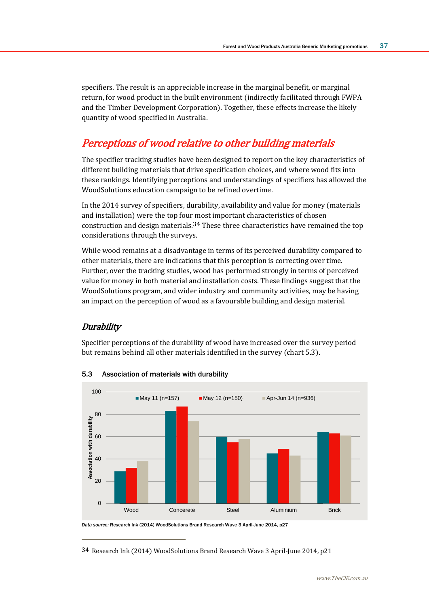specifiers. The result is an appreciable increase in the marginal benefit, or marginal return, for wood product in the built environment (indirectly facilitated through FWPA and the Timber Development Corporation). Together, these effects increase the likely quantity of wood specified in Australia.

# Perceptions of wood relative to other building materials

The specifier tracking studies have been designed to report on the key characteristics of different building materials that drive specification choices, and where wood fits into these rankings. Identifying perceptions and understandings of specifiers has allowed the WoodSolutions education campaign to be refined overtime.

In the 2014 survey of specifiers, durability, availability and value for money (materials and installation) were the top four most important characteristics of chosen construction and design materials.34 These three characteristics have remained the top considerations through the surveys.

While wood remains at a disadvantage in terms of its perceived durability compared to other materials, there are indications that this perception is correcting over time. Further, over the tracking studies, wood has performed strongly in terms of perceived value for money in both material and installation costs. These findings suggest that the WoodSolutions program, and wider industry and community activities, may be having an impact on the perception of wood as a favourable building and design material.

## **Durability**

 $\overline{a}$ 

Specifier perceptions of the durability of wood have increased over the survey period but remains behind all other materials identified in the survey (chart 5.3).



#### 5.3 Association of materials with durability

*Data source:* Research Ink (2014) WoodSolutions Brand Research Wave 3 April-June 2014, p27

34 Research Ink (2014) WoodSolutions Brand Research Wave 3 April-June 2014, p21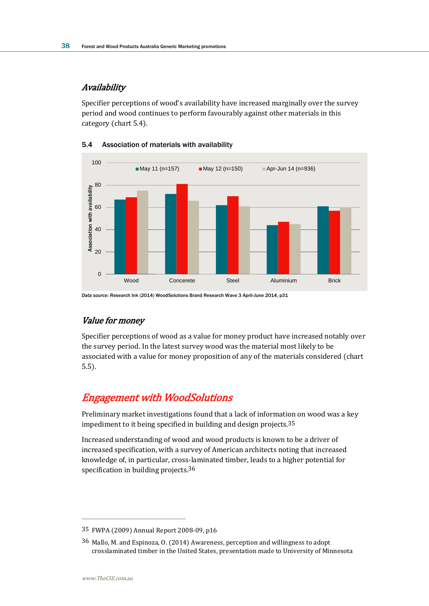### **Availability**

Specifier perceptions of wood's availability have increased marginally over the survey period and wood continues to perform favourably against other materials in this category (chart 5.4).



### 5.4 Association of materials with availability

*Data source:* Research Ink (2014) WoodSolutions Brand Research Wave 3 April-June 2014, p31

### Value for money

Specifier perceptions of wood as a value for money product have increased notably over the survey period. In the latest survey wood was the material most likely to be associated with a value for money proposition of any of the materials considered (chart 5.5).

# Engagement with WoodSolutions

Preliminary market investigations found that a lack of information on wood was a key impediment to it being specified in building and design projects.35

Increased understanding of wood and wood products is known to be a driver of increased specification, with a survey of American architects noting that increased knowledge of, in particular, cross-laminated timber, leads to a higher potential for specification in building projects.36

<sup>35</sup> FWPA (2009) Annual Report 2008-09, p16

<sup>36</sup> Mallo, M. and Espinoza, O. (2014) Awareness, perception and willingness to adopt crosslaminated timber in the United States, presentation made to University of Minnesota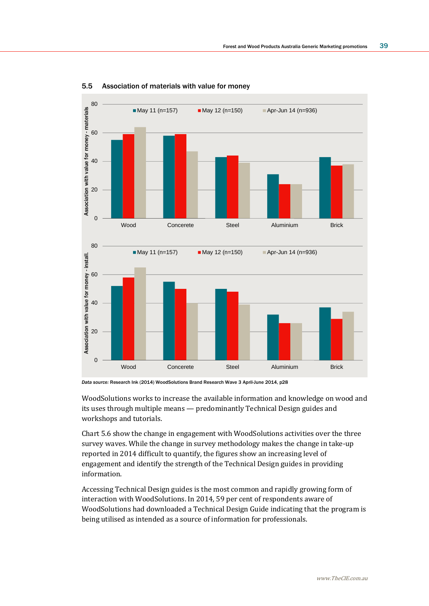

5.5 Association of materials with value for money

WoodSolutions works to increase the available information and knowledge on wood and its uses through multiple means — predominantly Technical Design guides and workshops and tutorials.

Chart 5.6 show the change in engagement with WoodSolutions activities over the three survey waves. While the change in survey methodology makes the change in take-up reported in 2014 difficult to quantify, the figures show an increasing level of engagement and identify the strength of the Technical Design guides in providing information.

Accessing Technical Design guides is the most common and rapidly growing form of interaction with WoodSolutions. In 2014, 59 per cent of respondents aware of WoodSolutions had downloaded a Technical Design Guide indicating that the program is being utilised as intended as a source of information for professionals.

*Data source:* Research Ink (2014) WoodSolutions Brand Research Wave 3 April-June 2014, p28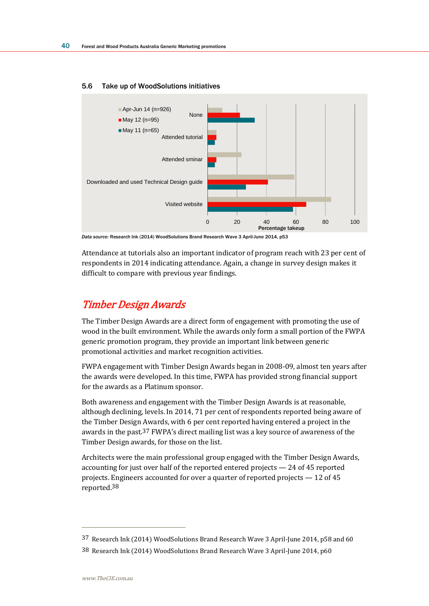

#### 5.6 Take up of WoodSolutions initiatives

*Data source:* Research Ink (2014) WoodSolutions Brand Research Wave 3 April-June 2014, p53

Attendance at tutorials also an important indicator of program reach with 23 per cent of respondents in 2014 indicating attendance. Again, a change in survey design makes it difficult to compare with previous year findings.

# Timber Design Awards

The Timber Design Awards are a direct form of engagement with promoting the use of wood in the built environment. While the awards only form a small portion of the FWPA generic promotion program, they provide an important link between generic promotional activities and market recognition activities.

FWPA engagement with Timber Design Awards began in 2008-09, almost ten years after the awards were developed. In this time, FWPA has provided strong financial support for the awards as a Platinum sponsor.

Both awareness and engagement with the Timber Design Awards is at reasonable, although declining, levels. In 2014, 71 per cent of respondents reported being aware of the Timber Design Awards, with 6 per cent reported having entered a project in the awards in the past.37 FWPA's direct mailing list was a key source of awareness of the Timber Design awards, for those on the list.

Architects were the main professional group engaged with the Timber Design Awards, accounting for just over half of the reported entered projects — 24 of 45 reported projects. Engineers accounted for over a quarter of reported projects — 12 of 45 reported.38

<sup>37</sup> Research Ink (2014) WoodSolutions Brand Research Wave 3 April-June 2014, p58 and 60

<sup>38</sup> Research Ink (2014) WoodSolutions Brand Research Wave 3 April-June 2014, p60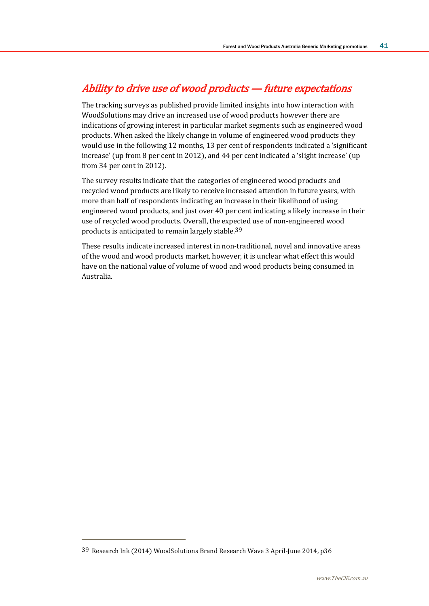# Ability to drive use of wood products — future expectations

The tracking surveys as published provide limited insights into how interaction with WoodSolutions may drive an increased use of wood products however there are indications of growing interest in particular market segments such as engineered wood products. When asked the likely change in volume of engineered wood products they would use in the following 12 months, 13 per cent of respondents indicated a 'significant increase' (up from 8 per cent in 2012), and 44 per cent indicated a 'slight increase' (up from 34 per cent in 2012).

The survey results indicate that the categories of engineered wood products and recycled wood products are likely to receive increased attention in future years, with more than half of respondents indicating an increase in their likelihood of using engineered wood products, and just over 40 per cent indicating a likely increase in their use of recycled wood products. Overall, the expected use of non-engineered wood products is anticipated to remain largely stable.39

These results indicate increased interest in non-traditional, novel and innovative areas of the wood and wood products market, however, it is unclear what effect this would have on the national value of volume of wood and wood products being consumed in Australia.

<sup>39</sup> Research Ink (2014) WoodSolutions Brand Research Wave 3 April-June 2014, p36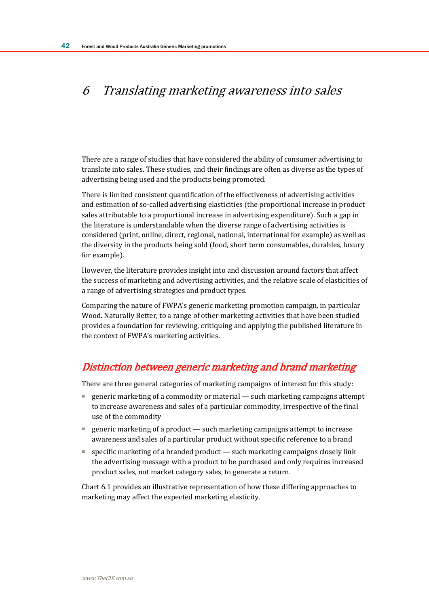# 6 Translating marketing awareness into sales

There are a range of studies that have considered the ability of consumer advertising to translate into sales. These studies, and their findings are often as diverse as the types of advertising being used and the products being promoted.

There is limited consistent quantification of the effectiveness of advertising activities and estimation of so-called advertising elasticities (the proportional increase in product sales attributable to a proportional increase in advertising expenditure). Such a gap in the literature is understandable when the diverse range of advertising activities is considered (print, online, direct, regional, national, international for example) as well as the diversity in the products being sold (food, short term consumables, durables, luxury for example).

However, the literature provides insight into and discussion around factors that affect the success of marketing and advertising activities, and the relative scale of elasticities of a range of advertising strategies and product types.

Comparing the nature of FWPA's generic marketing promotion campaign, in particular Wood. Naturally Better, to a range of other marketing activities that have been studied provides a foundation for reviewing, critiquing and applying the published literature in the context of FWPA's marketing activities.

# Distinction between generic marketing and brand marketing

There are three general categories of marketing campaigns of interest for this study:

- generic marketing of a commodity or material such marketing campaigns attempt to increase awareness and sales of a particular commodity, irrespective of the final use of the commodity
- generic marketing of a product such marketing campaigns attempt to increase awareness and sales of a particular product without specific reference to a brand
- specific marketing of a branded product such marketing campaigns closely link the advertising message with a product to be purchased and only requires increased product sales, not market category sales, to generate a return.

Chart 6.1 provides an illustrative representation of how these differing approaches to marketing may affect the expected marketing elasticity.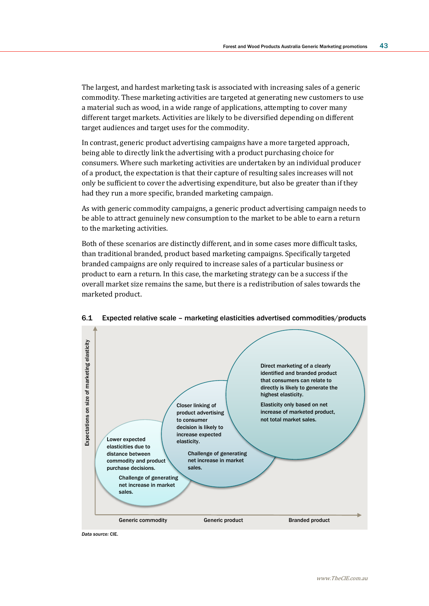The largest, and hardest marketing task is associated with increasing sales of a generic commodity. These marketing activities are targeted at generating new customers to use a material such as wood, in a wide range of applications, attempting to cover many different target markets. Activities are likely to be diversified depending on different target audiences and target uses for the commodity.

In contrast, generic product advertising campaigns have a more targeted approach, being able to directly link the advertising with a product purchasing choice for consumers. Where such marketing activities are undertaken by an individual producer of a product, the expectation is that their capture of resulting sales increases will not only be sufficient to cover the advertising expenditure, but also be greater than if they had they run a more specific, branded marketing campaign.

As with generic commodity campaigns, a generic product advertising campaign needs to be able to attract genuinely new consumption to the market to be able to earn a return to the marketing activities.

Both of these scenarios are distinctly different, and in some cases more difficult tasks, than traditional branded, product based marketing campaigns. Specifically targeted branded campaigns are only required to increase sales of a particular business or product to earn a return. In this case, the marketing strategy can be a success if the overall market size remains the same, but there is a redistribution of sales towards the marketed product.



#### 6.1 Expected relative scale – marketing elasticities advertised commodities/products

Data source: CIF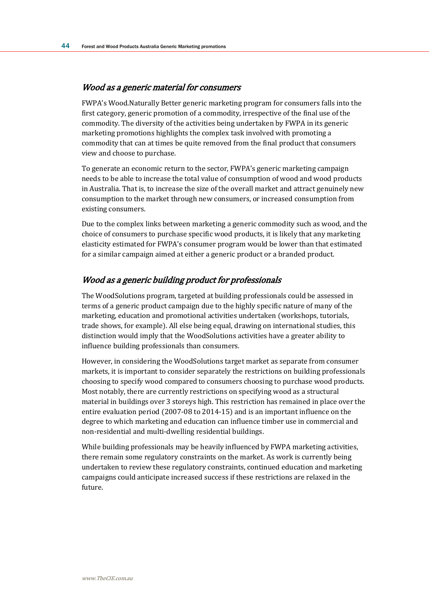#### Wood as a generic material for consumers

FWPA's Wood.Naturally Better generic marketing program for consumers falls into the first category, generic promotion of a commodity, irrespective of the final use of the commodity. The diversity of the activities being undertaken by FWPA in its generic marketing promotions highlights the complex task involved with promoting a commodity that can at times be quite removed from the final product that consumers view and choose to purchase.

To generate an economic return to the sector, FWPA's generic marketing campaign needs to be able to increase the total value of consumption of wood and wood products in Australia. That is, to increase the size of the overall market and attract genuinely new consumption to the market through new consumers, or increased consumption from existing consumers.

Due to the complex links between marketing a generic commodity such as wood, and the choice of consumers to purchase specific wood products, it is likely that any marketing elasticity estimated for FWPA's consumer program would be lower than that estimated for a similar campaign aimed at either a generic product or a branded product.

### Wood as a generic building product for professionals

The WoodSolutions program, targeted at building professionals could be assessed in terms of a generic product campaign due to the highly specific nature of many of the marketing, education and promotional activities undertaken (workshops, tutorials, trade shows, for example). All else being equal, drawing on international studies, this distinction would imply that the WoodSolutions activities have a greater ability to influence building professionals than consumers.

However, in considering the WoodSolutions target market as separate from consumer markets, it is important to consider separately the restrictions on building professionals choosing to specify wood compared to consumers choosing to purchase wood products. Most notably, there are currently restrictions on specifying wood as a structural material in buildings over 3 storeys high. This restriction has remained in place over the entire evaluation period (2007-08 to 2014-15) and is an important influence on the degree to which marketing and education can influence timber use in commercial and non-residential and multi-dwelling residential buildings.

While building professionals may be heavily influenced by FWPA marketing activities, there remain some regulatory constraints on the market. As work is currently being undertaken to review these regulatory constraints, continued education and marketing campaigns could anticipate increased success if these restrictions are relaxed in the future.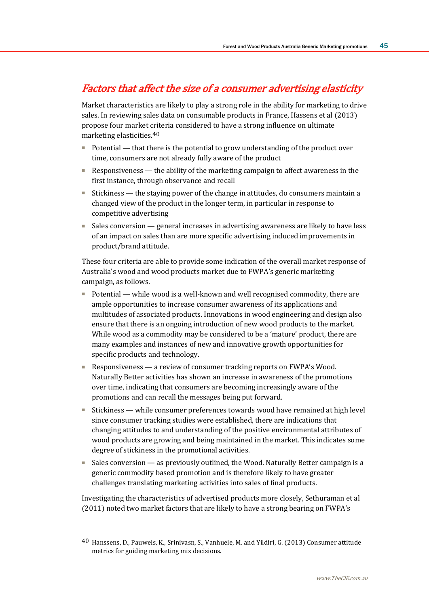## Factors that affect the size of a consumer advertising elasticity

Market characteristics are likely to play a strong role in the ability for marketing to drive sales. In reviewing sales data on consumable products in France, Hassens et al (2013) propose four market criteria considered to have a strong influence on ultimate marketing elasticities.40

- Potential that there is the potential to grow understanding of the product over time, consumers are not already fully aware of the product
- Responsiveness the ability of the marketing campaign to affect awareness in the first instance, through observance and recall
- Stickiness the staving power of the change in attitudes, do consumers maintain a changed view of the product in the longer term, in particular in response to competitive advertising
- Sales conversion general increases in advertising awareness are likely to have less of an impact on sales than are more specific advertising induced improvements in product/brand attitude.

These four criteria are able to provide some indication of the overall market response of Australia's wood and wood products market due to FWPA's generic marketing campaign, as follows.

- Potential while wood is a well-known and well recognised commodity, there are ample opportunities to increase consumer awareness of its applications and multitudes of associated products. Innovations in wood engineering and design also ensure that there is an ongoing introduction of new wood products to the market. While wood as a commodity may be considered to be a 'mature' product, there are many examples and instances of new and innovative growth opportunities for specific products and technology.
- Responsiveness a review of consumer tracking reports on FWPA's Wood. Naturally Better activities has shown an increase in awareness of the promotions over time, indicating that consumers are becoming increasingly aware of the promotions and can recall the messages being put forward.
- Stickiness while consumer preferences towards wood have remained at high level since consumer tracking studies were established, there are indications that changing attitudes to and understanding of the positive environmental attributes of wood products are growing and being maintained in the market. This indicates some degree of stickiness in the promotional activities.
- Sales conversion as previously outlined, the Wood, Naturally Better campaign is a generic commodity based promotion and is therefore likely to have greater challenges translating marketing activities into sales of final products.

Investigating the characteristics of advertised products more closely, Sethuraman et al (2011) noted two market factors that are likely to have a strong bearing on FWPA's

<sup>40</sup> Hanssens, D., Pauwels, K., Srinivasn, S., Vanhuele, M. and Yildiri, G. (2013) Consumer attitude metrics for guiding marketing mix decisions.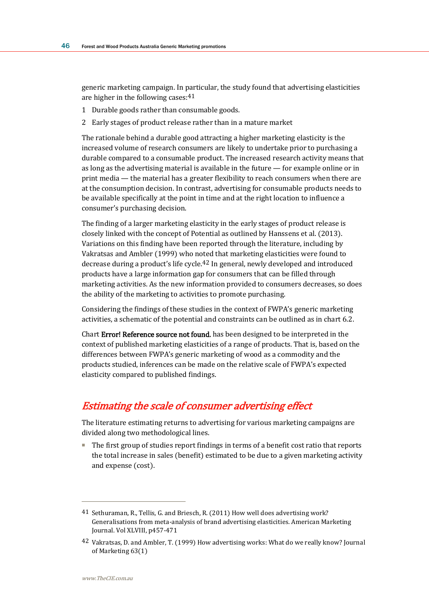generic marketing campaign. In particular, the study found that advertising elasticities are higher in the following cases:41

- 1 Durable goods rather than consumable goods.
- 2 Early stages of product release rather than in a mature market

The rationale behind a durable good attracting a higher marketing elasticity is the increased volume of research consumers are likely to undertake prior to purchasing a durable compared to a consumable product. The increased research activity means that as long as the advertising material is available in the future — for example online or in print media — the material has a greater flexibility to reach consumers when there are at the consumption decision. In contrast, advertising for consumable products needs to be available specifically at the point in time and at the right location to influence a consumer's purchasing decision.

The finding of a larger marketing elasticity in the early stages of product release is closely linked with the concept of Potential as outlined by Hanssens et al. (2013). Variations on this finding have been reported through the literature, including by Vakratsas and Ambler (1999) who noted that marketing elasticities were found to decrease during a product's life cycle.42 In general, newly developed and introduced products have a large information gap for consumers that can be filled through marketing activities. As the new information provided to consumers decreases, so does the ability of the marketing to activities to promote purchasing.

Considering the findings of these studies in the context of FWPA's generic marketing activities, a schematic of the potential and constraints can be outlined as in chart 6.2.

Chart Error! Reference source not found. has been designed to be interpreted in the context of published marketing elasticities of a range of products. That is, based on the differences between FWPA's generic marketing of wood as a commodity and the products studied, inferences can be made on the relative scale of FWPA's expected elasticity compared to published findings.

## Estimating the scale of consumer advertising effect

The literature estimating returns to advertising for various marketing campaigns are divided along two methodological lines.

■ The first group of studies report findings in terms of a benefit cost ratio that reports the total increase in sales (benefit) estimated to be due to a given marketing activity and expense (cost).

<sup>41</sup> Sethuraman, R., Tellis, G. and Briesch, R. (2011) How well does advertising work? Generalisations from meta-analysis of brand advertising elasticities. American Marketing Journal. Vol XLVIII, p457-471

<sup>42</sup> Vakratsas, D. and Ambler, T. (1999) How advertising works: What do we really know? Journal of Marketing 63(1)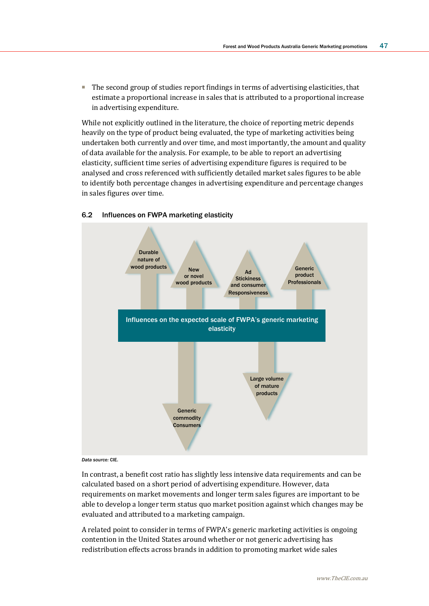■ The second group of studies report findings in terms of advertising elasticities, that estimate a proportional increase in sales that is attributed to a proportional increase in advertising expenditure.

While not explicitly outlined in the literature, the choice of reporting metric depends heavily on the type of product being evaluated, the type of marketing activities being undertaken both currently and over time, and most importantly, the amount and quality of data available for the analysis. For example, to be able to report an advertising elasticity, sufficient time series of advertising expenditure figures is required to be analysed and cross referenced with sufficiently detailed market sales figures to be able to identify both percentage changes in advertising expenditure and percentage changes in sales figures over time.



### 6.2 Influences on FWPA marketing elasticity

#### *Data source:* CIE.

In contrast, a benefit cost ratio has slightly less intensive data requirements and can be calculated based on a short period of advertising expenditure. However, data requirements on market movements and longer term sales figures are important to be able to develop a longer term status quo market position against which changes may be evaluated and attributed to a marketing campaign.

A related point to consider in terms of FWPA's generic marketing activities is ongoing contention in the United States around whether or not generic advertising has redistribution effects across brands in addition to promoting market wide sales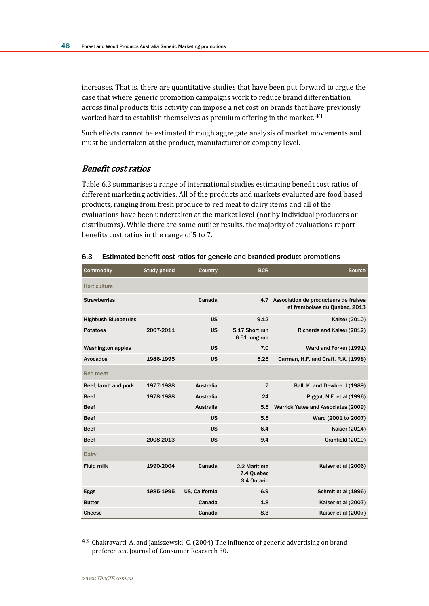increases. That is, there are quantitative studies that have been put forward to argue the case that where generic promotion campaigns work to reduce brand differentiation across final products this activity can impose a net cost on brands that have previously worked hard to establish themselves as premium offering in the market. 43

Such effects cannot be estimated through aggregate analysis of market movements and must be undertaken at the product, manufacturer or company level.

### Benefit cost ratios

Table 6.3 summarises a range of international studies estimating benefit cost ratios of different marketing activities. All of the products and markets evaluated are food based products, ranging from fresh produce to red meat to dairy items and all of the evaluations have been undertaken at the market level (not by individual producers or distributors). While there are some outlier results, the majority of evaluations report benefits cost ratios in the range of 5 to 7.

| <b>Commodity</b>            | <b>Study period</b> | Country          | <b>BCR</b>                                | <b>Source</b>                                                              |
|-----------------------------|---------------------|------------------|-------------------------------------------|----------------------------------------------------------------------------|
| <b>Horticulture</b>         |                     |                  |                                           |                                                                            |
| <b>Strawberries</b>         |                     | Canada           |                                           | 4.7 Association de producteurs de fraises<br>et framboises du Quebec, 2013 |
| <b>Highbush Blueberries</b> |                     | <b>US</b>        | 9.12                                      | Kaiser (2010)                                                              |
| <b>Potatoes</b>             | 2007-2011           | <b>US</b>        | 5.17 Short run<br>6.51 long run           | Richards and Kaiser (2012)                                                 |
| <b>Washington apples</b>    |                     | <b>US</b>        | 7.0                                       | Ward and Forker (1991)                                                     |
| Avocados                    | 1986-1995           | <b>US</b>        | 5.25                                      | Carman, H.F. and Craft, R.K. (1998)                                        |
| <b>Red meat</b>             |                     |                  |                                           |                                                                            |
| Beef, lamb and pork         | 1977-1988           | <b>Australia</b> | $\overline{7}$                            | Ball, K. and Dewbre, J (1989)                                              |
| <b>Beef</b>                 | 1978-1988           | <b>Australia</b> | 24                                        | Piggot, N.E. et al (1996)                                                  |
| <b>Beef</b>                 |                     | Australia        | 5.5                                       | Warrick Yates and Associates (2009)                                        |
| <b>Beef</b>                 |                     | <b>US</b>        | 5.5                                       | Ward (2001 to 2007)                                                        |
| <b>Beef</b>                 |                     | <b>US</b>        | 6.4                                       | Kaiser (2014)                                                              |
| <b>Beef</b>                 | 2008-2013           | <b>US</b>        | 9.4                                       | Cranfield (2010)                                                           |
| <b>Dairy</b>                |                     |                  |                                           |                                                                            |
| <b>Fluid milk</b>           | 1990-2004           | Canada           | 2.2 Maritime<br>7.4 Quebec<br>3.4 Ontario | Kaiser et al (2006)                                                        |
| Eggs                        | 1985-1995           | US. California   | 6.9                                       | Schmit et al (1996)                                                        |
| <b>Butter</b>               |                     | Canada           | 1.8                                       | Kaiser et al (2007)                                                        |
| Cheese                      |                     | Canada           | 8.3                                       | Kaiser et al (2007)                                                        |

#### 6.3 Estimated benefit cost ratios for generic and branded product promotions

<sup>43</sup> Chakravarti, A. and Janiszewski, C. (2004) The influence of generic advertising on brand preferences. Journal of Consumer Research 30.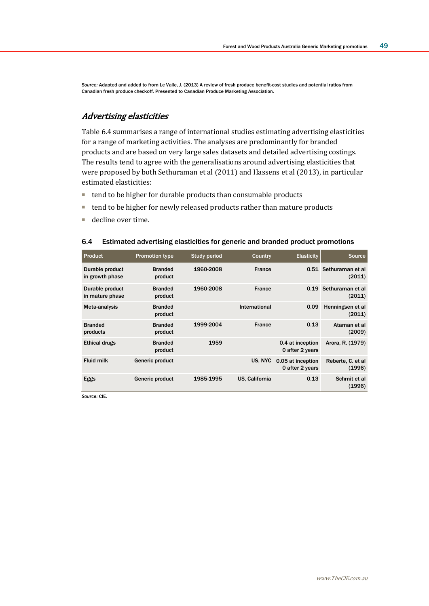*Source:* Adapted and added to from Le Valle, J. (2013) A review of fresh produce benefit-cost studies and potential ratios from Canadian fresh produce checkoff. Presented to Canadian Produce Marketing Association.

### Advertising elasticities

Table 6.4 summarises a range of international studies estimating advertising elasticities for a range of marketing activities. The analyses are predominantly for branded products and are based on very large sales datasets and detailed advertising costings. The results tend to agree with the generalisations around advertising elasticities that were proposed by both Sethuraman et al (2011) and Hassens et al (2013), in particular estimated elasticities:

- tend to be higher for durable products than consumable products
- tend to be higher for newly released products rather than mature products
- decline over time.

| <b>Product</b>                     | <b>Promotion type</b>     | <b>Study period</b> | Country        | <b>Elasticity</b>                    | <b>Source</b>                   |
|------------------------------------|---------------------------|---------------------|----------------|--------------------------------------|---------------------------------|
| Durable product<br>in growth phase | <b>Branded</b><br>product | 1960-2008           | <b>France</b>  |                                      | 0.51 Sethuraman et al<br>(2011) |
| Durable product<br>in mature phase | <b>Branded</b><br>product | 1960-2008           | <b>France</b>  |                                      | 0.19 Sethuraman et al<br>(2011) |
| Meta-analysis                      | <b>Branded</b><br>product |                     | International  | 0.09                                 | Henningsen et al<br>(2011)      |
| <b>Branded</b><br>products         | <b>Branded</b><br>product | 1999-2004           | <b>France</b>  | 0.13                                 | Ataman et al<br>(2009)          |
| <b>Ethical drugs</b>               | <b>Branded</b><br>product | 1959                |                | 0.4 at inception<br>0 after 2 years  | Arora, R. (1979)                |
| <b>Fluid milk</b>                  | Generic product           |                     | US. NYC        | 0.05 at inception<br>0 after 2 years | Reberte, C. et al<br>(1996)     |
| Eggs                               | Generic product           | 1985-1995           | US. California | 0.13                                 | Schmit et al<br>(1996)          |

#### 6.4 Estimated advertising elasticities for generic and branded product promotions

*Source:* CIE.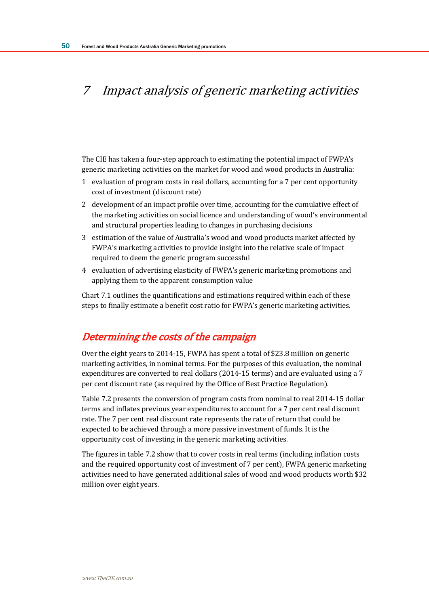# 7 Impact analysis of generic marketing activities

The CIE has taken a four-step approach to estimating the potential impact of FWPA's generic marketing activities on the market for wood and wood products in Australia:

- 1 evaluation of program costs in real dollars, accounting for a 7 per cent opportunity cost of investment (discount rate)
- 2 development of an impact profile over time, accounting for the cumulative effect of the marketing activities on social licence and understanding of wood's environmental and structural properties leading to changes in purchasing decisions
- 3 estimation of the value of Australia's wood and wood products market affected by FWPA's marketing activities to provide insight into the relative scale of impact required to deem the generic program successful
- 4 evaluation of advertising elasticity of FWPA's generic marketing promotions and applying them to the apparent consumption value

Chart 7.1 outlines the quantifications and estimations required within each of these steps to finally estimate a benefit cost ratio for FWPA's generic marketing activities.

## Determining the costs of the campaign

Over the eight years to 2014-15, FWPA has spent a total of \$23.8 million on generic marketing activities, in nominal terms. For the purposes of this evaluation, the nominal expenditures are converted to real dollars (2014-15 terms) and are evaluated using a 7 per cent discount rate (as required by the Office of Best Practice Regulation).

Table 7.2 presents the conversion of program costs from nominal to real 2014-15 dollar terms and inflates previous year expenditures to account for a 7 per cent real discount rate. The 7 per cent real discount rate represents the rate of return that could be expected to be achieved through a more passive investment of funds. It is the opportunity cost of investing in the generic marketing activities.

The figures in table 7.2 show that to cover costs in real terms (including inflation costs and the required opportunity cost of investment of 7 per cent), FWPA generic marketing activities need to have generated additional sales of wood and wood products worth \$32 million over eight years.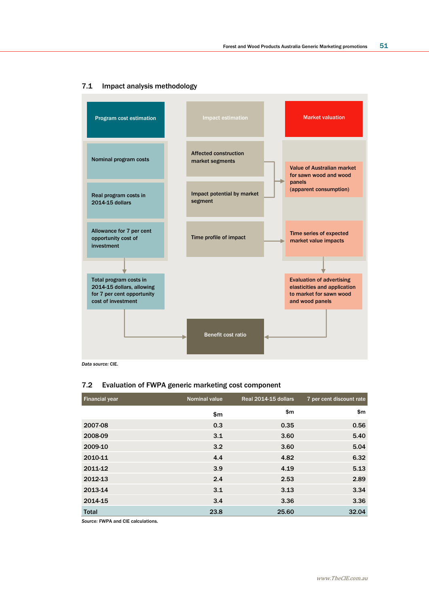

#### 7.1 Impact analysis methodology

*Data source:* CIE.

### 7.2 Evaluation of FWPA generic marketing cost component

| <b>Financial year</b> | <b>Nominal value</b> | Real 2014-15 dollars | 7 per cent discount rate |
|-----------------------|----------------------|----------------------|--------------------------|
|                       | \$m                  | \$m                  | \$m\$                    |
| 2007-08               | 0.3                  | 0.35                 | 0.56                     |
| 2008-09               | 3.1                  | 3.60                 | 5.40                     |
| 2009-10               | 3.2                  | 3.60                 | 5.04                     |
| 2010-11               | 4.4                  | 4.82                 | 6.32                     |
| 2011-12               | 3.9                  | 4.19                 | 5.13                     |
| 2012-13               | 2.4                  | 2.53                 | 2.89                     |
| 2013-14               | 3.1                  | 3.13                 | 3.34                     |
| 2014-15               | 3.4                  | 3.36                 | 3.36                     |
| <b>Total</b>          | 23.8                 | 25.60                | 32.04                    |

*Source:* FWPA and CIE calculations.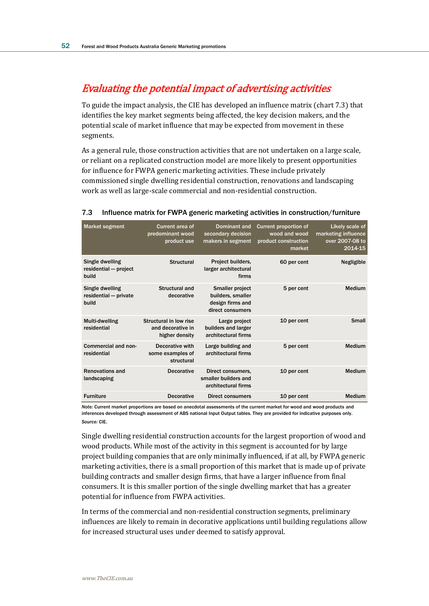# Evaluating the potential impact of advertising activities

To guide the impact analysis, the CIE has developed an influence matrix (chart 7.3) that identifies the key market segments being affected, the key decision makers, and the potential scale of market influence that may be expected from movement in these segments.

As a general rule, those construction activities that are not undertaken on a large scale, or reliant on a replicated construction model are more likely to present opportunities for influence for FWPA generic marketing activities. These include privately commissioned single dwelling residential construction, renovations and landscaping work as well as large-scale commercial and non-residential construction.

| <b>Market segment</b>                             | Current area of<br>predominant wood<br>product use            | <b>Dominant and</b><br>secondary decision<br>makers in segment                      | <b>Current proportion of</b><br>wood and wood<br>product construction<br>market | Likely scale of<br>marketing influence<br>over 2007-08 to<br>2014-15 |
|---------------------------------------------------|---------------------------------------------------------------|-------------------------------------------------------------------------------------|---------------------------------------------------------------------------------|----------------------------------------------------------------------|
| Single dwelling<br>residential - project<br>build | <b>Structural</b>                                             | Project builders,<br>larger architectural<br>firms                                  | 60 per cent                                                                     | Negligible                                                           |
| Single dwelling<br>residential - private<br>build | Structural and<br>decorative                                  | <b>Smaller project</b><br>builders, smaller<br>design firms and<br>direct consumers | 5 per cent                                                                      | Medium                                                               |
| Multi-dwelling<br>residential                     | Structural in low rise<br>and decorative in<br>higher density | Large project<br>builders and larger<br>architectural firms                         | 10 per cent                                                                     | Small                                                                |
| Commercial and non-<br>residential                | Decorative with<br>some examples of<br>structural             | Large building and<br>architectural firms                                           | 5 per cent                                                                      | Medium                                                               |
| <b>Renovations and</b><br>landscaping             | <b>Decorative</b>                                             | Direct consumers.<br>smaller builders and<br>architectural firms                    | 10 per cent                                                                     | Medium                                                               |
| <b>Furniture</b>                                  | <b>Decorative</b>                                             | <b>Direct consumers</b>                                                             | 10 per cent                                                                     | Medium                                                               |

#### 7.3 Influence matrix for FWPA generic marketing activities in construction/furniture

*Note:* Current market proportions are based on anecdotal assessments of the current market for wood and wood products and inferences developed through assessment of ABS national Input Output tables. They are provided for indicative purposes only. *Source:* CIE.

Single dwelling residential construction accounts for the largest proportion of wood and wood products. While most of the activity in this segment is accounted for by large project building companies that are only minimally influenced, if at all, by FWPA generic marketing activities, there is a small proportion of this market that is made up of private building contracts and smaller design firms, that have a larger influence from final consumers. It is this smaller portion of the single dwelling market that has a greater potential for influence from FWPA activities.

In terms of the commercial and non-residential construction segments, preliminary influences are likely to remain in decorative applications until building regulations allow for increased structural uses under deemed to satisfy approval.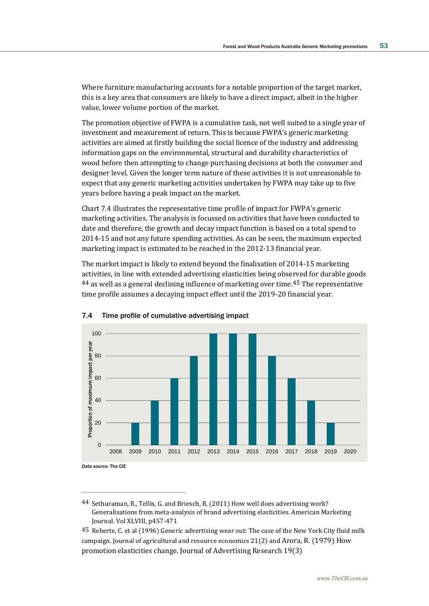Where furniture manufacturing accounts for a notable proportion of the target market, this is a key area that consumers are likely to have a direct impact, albeit in the higher value, lower volume portion of the market.

The promotion objective of FWPA is a cumulative task, not well suited to a single year of investment and measurement of return. This is because FWPA's generic marketing activities are aimed at firstly building the social licence of the industry and addressing information gaps on the environmental, structural and durability characteristics of wood before then attempting to change purchasing decisions at both the consumer and designer level. Given the longer term nature of these activities it is not unreasonable to expect that any generic marketing activities undertaken by FWPA may take up to five years before having a peak impact on the market.

Chart 7.4 illustrates the representative time profile of impact for FWPA's generic marketing activities. The analysis is focussed on activities that have been conducted to date and therefore, the growth and decay impact function is based on a total spend to 2014-15 and not any future spending activities. As can be seen, the maximum expected marketing impact is estimated to be reached in the 2012-13 financial year.

The market impact is likely to extend beyond the finalisation of 2014-15 marketing activities, in line with extended advertising elasticities being observed for durable goods 44 as well as a general declining influence of marketing over time.45 The representative time profile assumes a decaying impact effect until the 2019-20 financial year.





 $\overline{a}$ 

44 Sethuraman, R., Tellis, G. and Briesch, R. (2011) How well does advertising work? Generalisations from meta-analysis of brand advertising elasticities. American Marketing Journal. Vol XLVIII, p457-471

45 Reberte, C. et al (1996) Generic advertising wear out: The case of the New York City fluid milk campaign. Journal of agricultural and resource economics 21(2) and Arora, R. (1979) How promotion elasticities change. Journal of Advertising Research 19(3)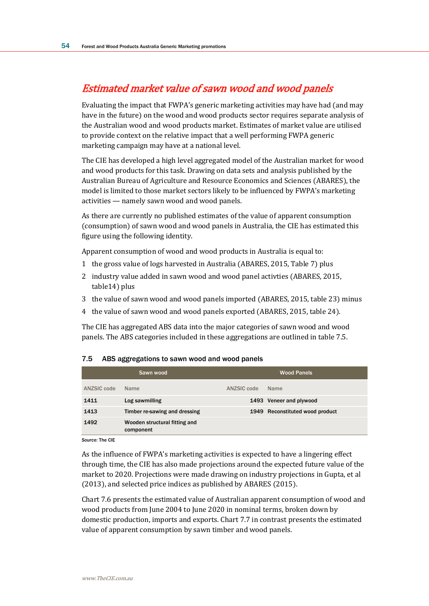# Estimated market value of sawn wood and wood panels

Evaluating the impact that FWPA's generic marketing activities may have had (and may have in the future) on the wood and wood products sector requires separate analysis of the Australian wood and wood products market. Estimates of market value are utilised to provide context on the relative impact that a well performing FWPA generic marketing campaign may have at a national level.

The CIE has developed a high level aggregated model of the Australian market for wood and wood products for this task. Drawing on data sets and analysis published by the Australian Bureau of Agriculture and Resource Economics and Sciences (ABARES), the model is limited to those market sectors likely to be influenced by FWPA's marketing activities — namely sawn wood and wood panels.

As there are currently no published estimates of the value of apparent consumption (consumption) of sawn wood and wood panels in Australia, the CIE has estimated this figure using the following identity.

Apparent consumption of wood and wood products in Australia is equal to:

- 1 the gross value of logs harvested in Australia (ABARES, 2015, Table 7) plus
- 2 industry value added in sawn wood and wood panel activties (ABARES, 2015, table14) plus
- 3 the value of sawn wood and wood panels imported (ABARES, 2015, table 23) minus
- 4 the value of sawn wood and wood panels exported (ABARES, 2015, table 24).

The CIE has aggregated ABS data into the major categories of sawn wood and wood panels. The ABS categories included in these aggregations are outlined in table 7.5.

#### 7.5 ABS aggregations to sawn wood and wood panels

| Sawn wood   |                                            | <b>Wood Panels</b> |                                 |  |
|-------------|--------------------------------------------|--------------------|---------------------------------|--|
| ANZSIC code | <b>Name</b>                                | ANZSIC code        | <b>Name</b>                     |  |
| 1411        | Log sawmilling                             |                    | 1493 Veneer and plywood         |  |
| 1413        | Timber re-sawing and dressing              |                    | 1949 Reconstituted wood product |  |
| 1492        | Wooden structural fitting and<br>component |                    |                                 |  |

*Source:* The CIE

As the influence of FWPA's marketing activities is expected to have a lingering effect through time, the CIE has also made projections around the expected future value of the market to 2020. Projections were made drawing on industry projections in Gupta, et al (2013), and selected price indices as published by ABARES (2015).

Chart 7.6 presents the estimated value of Australian apparent consumption of wood and wood products from June 2004 to June 2020 in nominal terms, broken down by domestic production, imports and exports. Chart 7.7 in contrast presents the estimated value of apparent consumption by sawn timber and wood panels.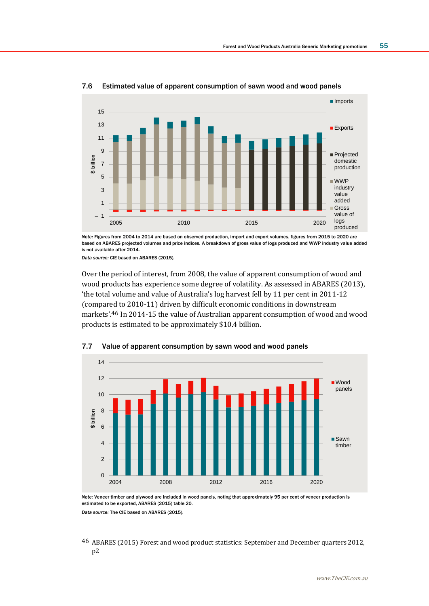

### 7.6 Estimated value of apparent consumption of sawn wood and wood panels

*Note:* Figures from 2004 to 2014 are based on observed production, import and export volumes, figures from 2015 to 2020 are based on ABARES projected volumes and price indices. A breakdown of gross value of logs produced and WWP industry value added is not available after 2014.

*Data source:* CIE based on ABARES (2015).

 $\overline{a}$ 

Over the period of interest, from 2008, the value of apparent consumption of wood and wood products has experience some degree of volatility. As assessed in ABARES (2013), 'the total volume and value of Australia's log harvest fell by 11 per cent in 2011-12 (compared to 2010-11) driven by difficult economic conditions in downstream markets'.46 In 2014-15 the value of Australian apparent consumption of wood and wood products is estimated to be approximately \$10.4 billion.



#### 7.7 Value of apparent consumption by sawn wood and wood panels

*Note:* Veneer timber and plywood are included in wood panels, noting that approximately 95 per cent of veneer production is estimated to be exported, ABARES (2015) table 20. *Data source:* The CIE based on ABARES (2015).

<sup>46</sup> ABARES (2015) Forest and wood product statistics: September and December quarters 2012, p2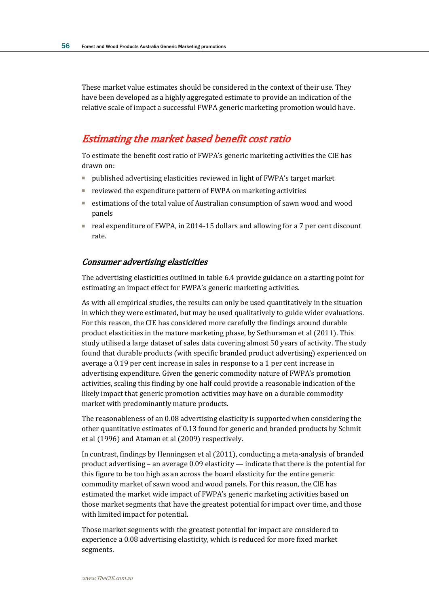These market value estimates should be considered in the context of their use. They have been developed as a highly aggregated estimate to provide an indication of the relative scale of impact a successful FWPA generic marketing promotion would have.

# Estimating the market based benefit cost ratio

To estimate the benefit cost ratio of FWPA's generic marketing activities the CIE has drawn on:

- published advertising elasticities reviewed in light of FWPA's target market
- reviewed the expenditure pattern of FWPA on marketing activities
- estimations of the total value of Australian consumption of sawn wood and wood panels
- real expenditure of FWPA, in 2014-15 dollars and allowing for a 7 per cent discount rate.

### Consumer advertising elasticities

The advertising elasticities outlined in table 6.4 provide guidance on a starting point for estimating an impact effect for FWPA's generic marketing activities.

As with all empirical studies, the results can only be used quantitatively in the situation in which they were estimated, but may be used qualitatively to guide wider evaluations. For this reason, the CIE has considered more carefully the findings around durable product elasticities in the mature marketing phase, by Sethuraman et al (2011). This study utilised a large dataset of sales data covering almost 50 years of activity. The study found that durable products (with specific branded product advertising) experienced on average a 0.19 per cent increase in sales in response to a 1 per cent increase in advertising expenditure. Given the generic commodity nature of FWPA's promotion activities, scaling this finding by one half could provide a reasonable indication of the likely impact that generic promotion activities may have on a durable commodity market with predominantly mature products.

The reasonableness of an 0.08 advertising elasticity is supported when considering the other quantitative estimates of 0.13 found for generic and branded products by Schmit et al (1996) and Ataman et al (2009) respectively.

In contrast, findings by Henningsen et al (2011), conducting a meta-analysis of branded product advertising – an average 0.09 elasticity — indicate that there is the potential for this figure to be too high as an across the board elasticity for the entire generic commodity market of sawn wood and wood panels. For this reason, the CIE has estimated the market wide impact of FWPA's generic marketing activities based on those market segments that have the greatest potential for impact over time, and those with limited impact for potential.

Those market segments with the greatest potential for impact are considered to experience a 0.08 advertising elasticity, which is reduced for more fixed market segments.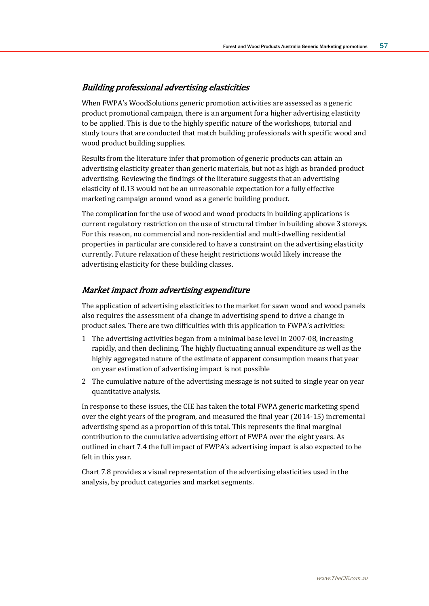### Building professional advertising elasticities

When FWPA's WoodSolutions generic promotion activities are assessed as a generic product promotional campaign, there is an argument for a higher advertising elasticity to be applied. This is due to the highly specific nature of the workshops, tutorial and study tours that are conducted that match building professionals with specific wood and wood product building supplies.

Results from the literature infer that promotion of generic products can attain an advertising elasticity greater than generic materials, but not as high as branded product advertising. Reviewing the findings of the literature suggests that an advertising elasticity of 0.13 would not be an unreasonable expectation for a fully effective marketing campaign around wood as a generic building product.

The complication for the use of wood and wood products in building applications is current regulatory restriction on the use of structural timber in building above 3 storeys. For this reason, no commercial and non-residential and multi-dwelling residential properties in particular are considered to have a constraint on the advertising elasticity currently. Future relaxation of these height restrictions would likely increase the advertising elasticity for these building classes.

### Market impact from advertising expenditure

The application of advertising elasticities to the market for sawn wood and wood panels also requires the assessment of a change in advertising spend to drive a change in product sales. There are two difficulties with this application to FWPA's activities:

- 1 The advertising activities began from a minimal base level in 2007-08, increasing rapidly, and then declining. The highly fluctuating annual expenditure as well as the highly aggregated nature of the estimate of apparent consumption means that year on year estimation of advertising impact is not possible
- 2 The cumulative nature of the advertising message is not suited to single year on year quantitative analysis.

In response to these issues, the CIE has taken the total FWPA generic marketing spend over the eight years of the program, and measured the final year (2014-15) incremental advertising spend as a proportion of this total. This represents the final marginal contribution to the cumulative advertising effort of FWPA over the eight years. As outlined in chart 7.4 the full impact of FWPA's advertising impact is also expected to be felt in this year.

Chart 7.8 provides a visual representation of the advertising elasticities used in the analysis, by product categories and market segments.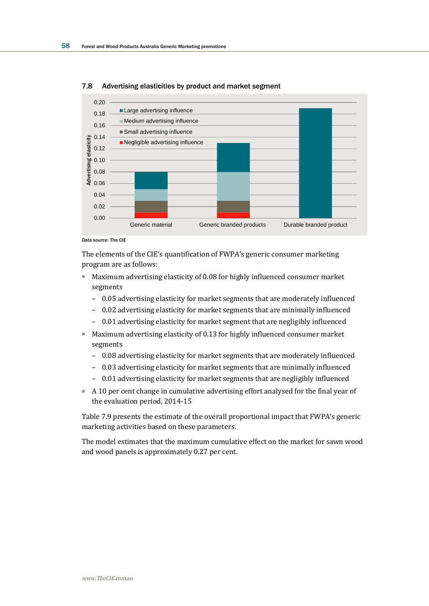

#### 7.8 Advertising elasticities by product and market segment

The elements of the CIE's quantification of FWPA's generic consumer marketing program are as follows:

- Maximum advertising elasticity of 0.08 for highly influenced consumer market segments
	- 0.05 advertising elasticity for market segments that are moderately influenced
	- 0.02 advertising elasticity for market segments that are minimally influenced
	- 0.01 advertising elasticity for market segment that are negligibly influenced
- Maximum advertising elasticity of 0.13 for highly influenced consumer market segments
	- 0.08 advertising elasticity for market segments that are moderately influenced
	- 0.03 advertising elasticity for market segments that are minimally influenced
	- 0.01 advertising elasticity for market segments that are negligibly influenced
- A 10 per cent change in cumulative advertising effort analysed for the final year of the evaluation period, 2014-15

Table 7.9 presents the estimate of the overall proportional impact that FWPA's generic marketing activities based on these parameters.

The model estimates that the maximum cumulative effect on the market for sawn wood and wood panels is approximately 0.27 per cent.

*Data source:* The CIE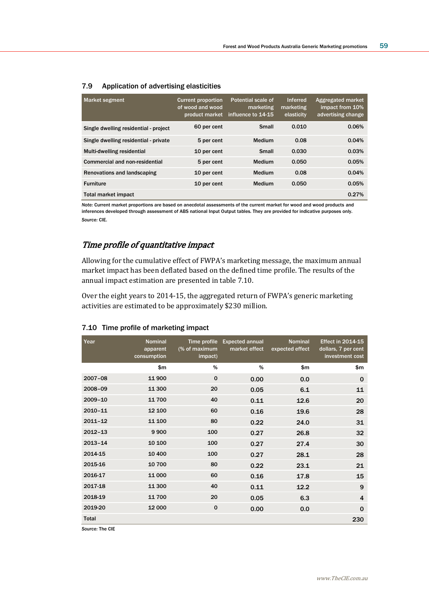| <b>Market segment</b>                 | <b>Current proportion</b><br>of wood and wood<br>product market | <b>Potential scale of</b><br>marketing<br>influence to 14-15 | <b>Inferred</b><br>marketing<br>elasticity | Aggregated market<br>impact from 10%<br>advertising change |
|---------------------------------------|-----------------------------------------------------------------|--------------------------------------------------------------|--------------------------------------------|------------------------------------------------------------|
| Single dwelling residential - project | 60 per cent                                                     | <b>Small</b>                                                 | 0.010                                      | 0.06%                                                      |
| Single dwelling residential - private | 5 per cent                                                      | Medium                                                       | 0.08                                       | 0.04%                                                      |
| Multi-dwelling residential            | 10 per cent                                                     | <b>Small</b>                                                 | 0.030                                      | 0.03%                                                      |
| Commercial and non-residential        | 5 per cent                                                      | Medium                                                       | 0.050                                      | 0.05%                                                      |
| Renovations and landscaping           | 10 per cent                                                     | Medium                                                       | 0.08                                       | 0.04%                                                      |
| <b>Furniture</b>                      | 10 per cent                                                     | Medium                                                       | 0.050                                      | 0.05%                                                      |
| Total market impact                   |                                                                 |                                                              |                                            | 0.27%                                                      |

#### 7.9 Application of advertising elasticities

*Note:* Current market proportions are based on anecdotal assessments of the current market for wood and wood products and inferences developed through assessment of ABS national Input Output tables. They are provided for indicative purposes only. *Source:* CIE.

### Time profile of quantitative impact

Allowing for the cumulative effect of FWPA's marketing message, the maximum annual market impact has been deflated based on the defined time profile. The results of the annual impact estimation are presented in table 7.10.

Over the eight years to 2014-15, the aggregated return of FWPA's generic marketing activities are estimated to be approximately \$230 million.

| Year                            | <b>Nominal</b><br>apparent<br>consumption | (% of maximum<br>impact) | Time profile Expected annual<br>market effect | <b>Nominal</b><br>expected effect | <b>Effect in 2014-15</b><br>dollars, 7 per cent<br>investment cost |
|---------------------------------|-------------------------------------------|--------------------------|-----------------------------------------------|-----------------------------------|--------------------------------------------------------------------|
|                                 | \$m                                       | %                        | %                                             | \$m\$                             | \$m                                                                |
| 2007-08                         | 11 900                                    | $\mathbf 0$              | 0.00                                          | 0.0                               | $\mathbf 0$                                                        |
| 2008-09                         | 11 300                                    | 20                       | 0.05                                          | 6.1                               | 11                                                                 |
| 2009-10                         | 11700                                     | 40                       | 0.11                                          | 12.6                              | 20                                                                 |
| $2010 - 11$                     | 12 100                                    | 60                       | 0.16                                          | 19.6                              | 28                                                                 |
| $2011 - 12$                     | 11 100                                    | 80                       | 0.22                                          | 24.0                              | 31                                                                 |
| $2012 - 13$                     | 9900                                      | 100                      | 0.27                                          | 26.8                              | 32                                                                 |
| $2013 - 14$                     | 10 100                                    | 100                      | 0.27                                          | 27.4                              | 30                                                                 |
| 2014-15                         | 10 400                                    | 100                      | 0.27                                          | 28.1                              | 28                                                                 |
| 2015-16                         | 10 700                                    | 80                       | 0.22                                          | 23.1                              | 21                                                                 |
| 2016-17                         | 11 000                                    | 60                       | 0.16                                          | 17.8                              | 15                                                                 |
| 2017-18                         | 11 300                                    | 40                       | 0.11                                          | 12.2                              | 9                                                                  |
| 2018-19                         | 11700                                     | 20                       | 0.05                                          | 6.3                               | 4                                                                  |
| 2019-20                         | 12 000                                    | $\mathbf 0$              | 0.00                                          | 0.0                               | $\mathbf 0$                                                        |
| <b>Total</b><br>Source: The CIF |                                           |                          |                                               |                                   | 230                                                                |

### 7.10 Time profile of marketing impact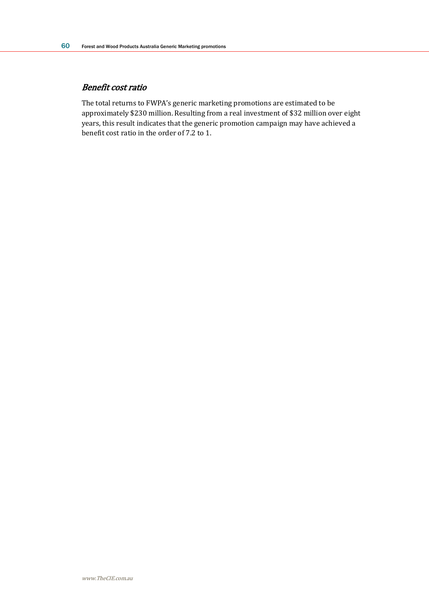### Benefit cost ratio

The total returns to FWPA's generic marketing promotions are estimated to be approximately \$230 million. Resulting from a real investment of \$32 million over eight years, this result indicates that the generic promotion campaign may have achieved a benefit cost ratio in the order of 7.2 to 1.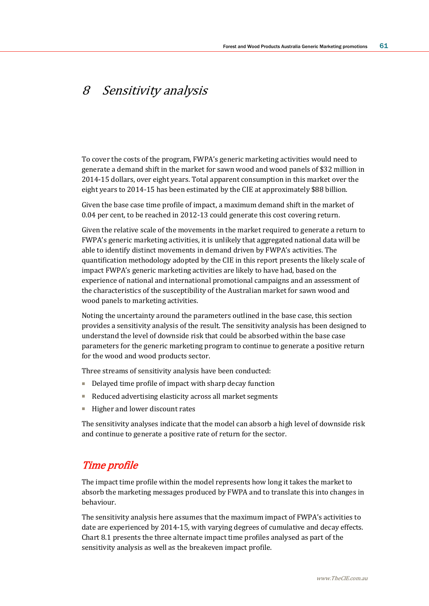# 8 Sensitivity analysis

To cover the costs of the program, FWPA's generic marketing activities would need to generate a demand shift in the market for sawn wood and wood panels of \$32 million in 2014-15 dollars, over eight years. Total apparent consumption in this market over the eight years to 2014-15 has been estimated by the CIE at approximately \$88 billion.

Given the base case time profile of impact, a maximum demand shift in the market of 0.04 per cent, to be reached in 2012-13 could generate this cost covering return.

Given the relative scale of the movements in the market required to generate a return to FWPA's generic marketing activities, it is unlikely that aggregated national data will be able to identify distinct movements in demand driven by FWPA's activities. The quantification methodology adopted by the CIE in this report presents the likely scale of impact FWPA's generic marketing activities are likely to have had, based on the experience of national and international promotional campaigns and an assessment of the characteristics of the susceptibility of the Australian market for sawn wood and wood panels to marketing activities.

Noting the uncertainty around the parameters outlined in the base case, this section provides a sensitivity analysis of the result. The sensitivity analysis has been designed to understand the level of downside risk that could be absorbed within the base case parameters for the generic marketing program to continue to generate a positive return for the wood and wood products sector.

Three streams of sensitivity analysis have been conducted:

- Delayed time profile of impact with sharp decay function
- Reduced advertising elasticity across all market segments
- Higher and lower discount rates

The sensitivity analyses indicate that the model can absorb a high level of downside risk and continue to generate a positive rate of return for the sector.

## Time profile

The impact time profile within the model represents how long it takes the market to absorb the marketing messages produced by FWPA and to translate this into changes in behaviour.

The sensitivity analysis here assumes that the maximum impact of FWPA's activities to date are experienced by 2014-15, with varying degrees of cumulative and decay effects. Chart 8.1 presents the three alternate impact time profiles analysed as part of the sensitivity analysis as well as the breakeven impact profile.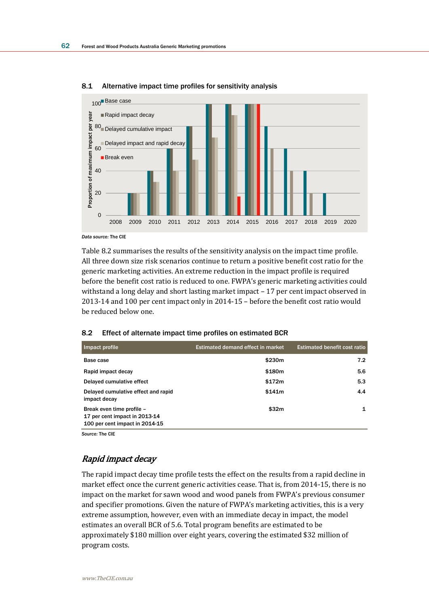

#### 8.1 Alternative impact time profiles for sensitivity analysis

Table 8.2 summarises the results of the sensitivity analysis on the impact time profile. All three down size risk scenarios continue to return a positive benefit cost ratio for the generic marketing activities. An extreme reduction in the impact profile is required before the benefit cost ratio is reduced to one. FWPA's generic marketing activities could withstand a long delay and short lasting market impact – 17 per cent impact observed in 2013-14 and 100 per cent impact only in 2014-15 – before the benefit cost ratio would be reduced below one.

| 8.2 | Effect of alternate impact time profiles on estimated BCR |  |  |  |
|-----|-----------------------------------------------------------|--|--|--|
|-----|-----------------------------------------------------------|--|--|--|

| Impact profile                                                                               | <b>Estimated demand effect in market</b> | <b>Estimated benefit cost ratio</b> |
|----------------------------------------------------------------------------------------------|------------------------------------------|-------------------------------------|
| Base case                                                                                    | \$230m                                   | 7.2                                 |
| Rapid impact decay                                                                           | \$180m                                   | 5.6                                 |
| Delayed cumulative effect                                                                    | \$172m                                   | 5.3                                 |
| Delayed cumulative effect and rapid<br>impact decay                                          | \$141m                                   | 4.4                                 |
| Break even time profile -<br>17 per cent impact in 2013-14<br>100 per cent impact in 2014-15 | \$32m                                    | 1                                   |

*Source:* The CIE

### Rapid impact decay

The rapid impact decay time profile tests the effect on the results from a rapid decline in market effect once the current generic activities cease. That is, from 2014-15, there is no impact on the market for sawn wood and wood panels from FWPA's previous consumer and specifier promotions. Given the nature of FWPA's marketing activities, this is a very extreme assumption, however, even with an immediate decay in impact, the model estimates an overall BCR of 5.6. Total program benefits are estimated to be approximately \$180 million over eight years, covering the estimated \$32 million of program costs.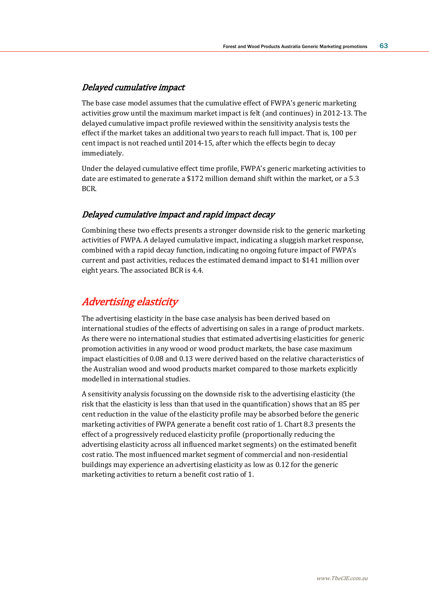### Delayed cumulative impact

The base case model assumes that the cumulative effect of FWPA's generic marketing activities grow until the maximum market impact is felt (and continues) in 2012-13. The delayed cumulative impact profile reviewed within the sensitivity analysis tests the effect if the market takes an additional two years to reach full impact. That is, 100 per cent impact is not reached until 2014-15, after which the effects begin to decay immediately.

Under the delayed cumulative effect time profile, FWPA's generic marketing activities to date are estimated to generate a \$172 million demand shift within the market, or a 5.3 BCR.

### Delayed cumulative impact and rapid impact decay

Combining these two effects presents a stronger downside risk to the generic marketing activities of FWPA. A delayed cumulative impact, indicating a sluggish market response, combined with a rapid decay function, indicating no ongoing future impact of FWPA's current and past activities, reduces the estimated demand impact to \$141 million over eight years. The associated BCR is 4.4.

## Advertising elasticity

The advertising elasticity in the base case analysis has been derived based on international studies of the effects of advertising on sales in a range of product markets. As there were no international studies that estimated advertising elasticities for generic promotion activities in any wood or wood product markets, the base case maximum impact elasticities of 0.08 and 0.13 were derived based on the relative characteristics of the Australian wood and wood products market compared to those markets explicitly modelled in international studies.

A sensitivity analysis focussing on the downside risk to the advertising elasticity (the risk that the elasticity is less than that used in the quantification) shows that an 85 per cent reduction in the value of the elasticity profile may be absorbed before the generic marketing activities of FWPA generate a benefit cost ratio of 1. Chart 8.3 presents the effect of a progressively reduced elasticity profile (proportionally reducing the advertising elasticity across all influenced market segments) on the estimated benefit cost ratio. The most influenced market segment of commercial and non-residential buildings may experience an advertising elasticity as low as 0.12 for the generic marketing activities to return a benefit cost ratio of 1.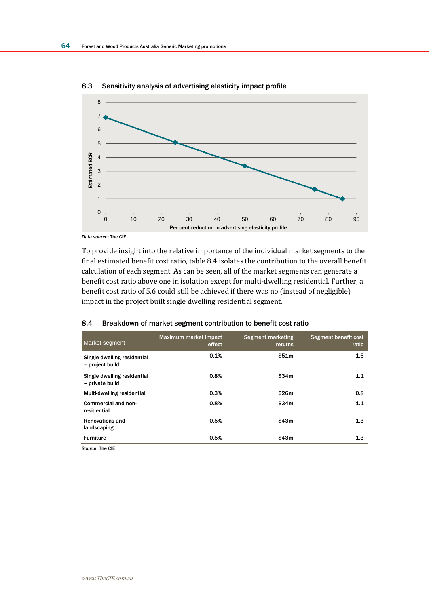

8.3 Sensitivity analysis of advertising elasticity impact profile

To provide insight into the relative importance of the individual market segments to the final estimated benefit cost ratio, table 8.4 isolates the contribution to the overall benefit calculation of each segment. As can be seen, all of the market segments can generate a benefit cost ratio above one in isolation except for multi-dwelling residential. Further, a

benefit cost ratio of 5.6 could still be achieved if there was no (instead of negligible)

| Market segment                                 | Maximum market impact<br>effect | Segment marketing<br>returns | Segment benefit cost<br>ratio |
|------------------------------------------------|---------------------------------|------------------------------|-------------------------------|
| Single dwelling residential<br>- project build | 0.1%                            | \$51m                        | 1.6                           |
| Single dwelling residential<br>- private build | 0.8%                            | \$34m                        | 1.1                           |
| Multi-dwelling residential                     | 0.3%                            | \$26m                        | 0.8                           |
| Commercial and non-<br>residential             | 0.8%                            | \$34m                        | 1.1                           |
| <b>Renovations and</b><br>landscaping          | 0.5%                            | \$43m                        | 1.3                           |
| <b>Furniture</b>                               | 0.5%                            | \$43m                        | 1.3                           |

#### 8.4 Breakdown of market segment contribution to benefit cost ratio

impact in the project built single dwelling residential segment.

*Source:* The CIE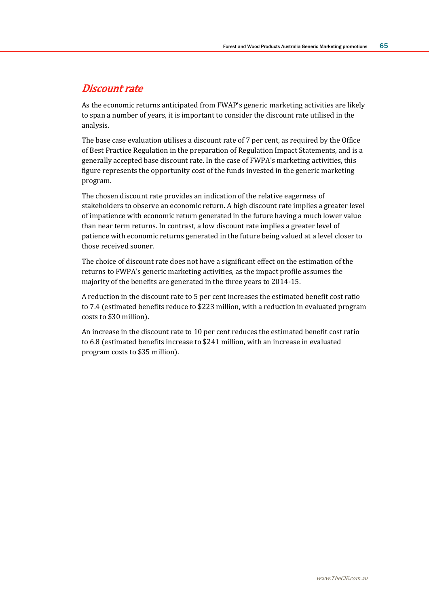## Discount rate

As the economic returns anticipated from FWAP's generic marketing activities are likely to span a number of years, it is important to consider the discount rate utilised in the analysis.

The base case evaluation utilises a discount rate of 7 per cent, as required by the Office of Best Practice Regulation in the preparation of Regulation Impact Statements, and is a generally accepted base discount rate. In the case of FWPA's marketing activities, this figure represents the opportunity cost of the funds invested in the generic marketing program.

The chosen discount rate provides an indication of the relative eagerness of stakeholders to observe an economic return. A high discount rate implies a greater level of impatience with economic return generated in the future having a much lower value than near term returns. In contrast, a low discount rate implies a greater level of patience with economic returns generated in the future being valued at a level closer to those received sooner.

The choice of discount rate does not have a significant effect on the estimation of the returns to FWPA's generic marketing activities, as the impact profile assumes the majority of the benefits are generated in the three years to 2014-15.

A reduction in the discount rate to 5 per cent increases the estimated benefit cost ratio to 7.4 (estimated benefits reduce to \$223 million, with a reduction in evaluated program costs to \$30 million).

An increase in the discount rate to 10 per cent reduces the estimated benefit cost ratio to 6.8 (estimated benefits increase to \$241 million, with an increase in evaluated program costs to \$35 million).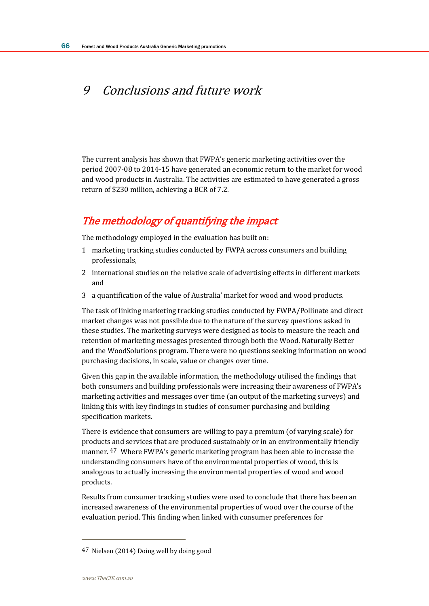# 9 Conclusions and future work

The current analysis has shown that FWPA's generic marketing activities over the period 2007-08 to 2014-15 have generated an economic return to the market for wood and wood products in Australia. The activities are estimated to have generated a gross return of \$230 million, achieving a BCR of 7.2.

# The methodology of quantifying the impact

The methodology employed in the evaluation has built on:

- 1 marketing tracking studies conducted by FWPA across consumers and building professionals,
- 2 international studies on the relative scale of advertising effects in different markets and
- 3 a quantification of the value of Australia' market for wood and wood products.

The task of linking marketing tracking studies conducted by FWPA/Pollinate and direct market changes was not possible due to the nature of the survey questions asked in these studies. The marketing surveys were designed as tools to measure the reach and retention of marketing messages presented through both the Wood. Naturally Better and the WoodSolutions program. There were no questions seeking information on wood purchasing decisions, in scale, value or changes over time.

Given this gap in the available information, the methodology utilised the findings that both consumers and building professionals were increasing their awareness of FWPA's marketing activities and messages over time (an output of the marketing surveys) and linking this with key findings in studies of consumer purchasing and building specification markets.

There is evidence that consumers are willing to pay a premium (of varying scale) for products and services that are produced sustainably or in an environmentally friendly manner. 47 Where FWPA's generic marketing program has been able to increase the understanding consumers have of the environmental properties of wood, this is analogous to actually increasing the environmental properties of wood and wood products.

Results from consumer tracking studies were used to conclude that there has been an increased awareness of the environmental properties of wood over the course of the evaluation period. This finding when linked with consumer preferences for

<sup>47</sup> Nielsen (2014) Doing well by doing good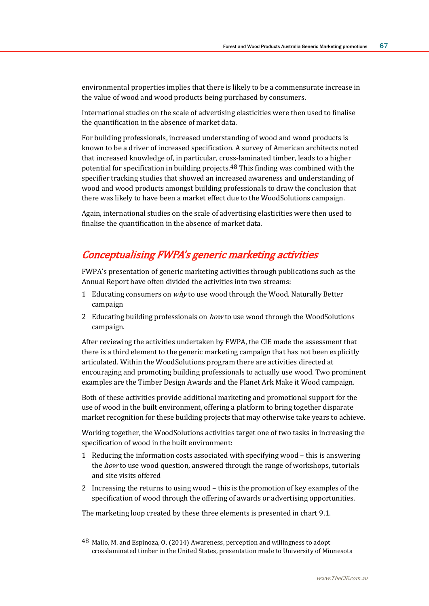environmental properties implies that there is likely to be a commensurate increase in the value of wood and wood products being purchased by consumers.

International studies on the scale of advertising elasticities were then used to finalise the quantification in the absence of market data.

For building professionals, increased understanding of wood and wood products is known to be a driver of increased specification. A survey of American architects noted that increased knowledge of, in particular, cross-laminated timber, leads to a higher potential for specification in building projects.48 This finding was combined with the specifier tracking studies that showed an increased awareness and understanding of wood and wood products amongst building professionals to draw the conclusion that there was likely to have been a market effect due to the WoodSolutions campaign.

Again, international studies on the scale of advertising elasticities were then used to finalise the quantification in the absence of market data.

# Conceptualising FWPA's generic marketing activities

FWPA's presentation of generic marketing activities through publications such as the Annual Report have often divided the activities into two streams:

- 1 Educating consumers on why to use wood through the Wood. Naturally Better campaign
- 2 Educating building professionals on *how* to use wood through the WoodSolutions campaign.

After reviewing the activities undertaken by FWPA, the CIE made the assessment that there is a third element to the generic marketing campaign that has not been explicitly articulated. Within the WoodSolutions program there are activities directed at encouraging and promoting building professionals to actually use wood. Two prominent examples are the Timber Design Awards and the Planet Ark Make it Wood campaign.

Both of these activities provide additional marketing and promotional support for the use of wood in the built environment, offering a platform to bring together disparate market recognition for these building projects that may otherwise take years to achieve.

Working together, the WoodSolutions activities target one of two tasks in increasing the specification of wood in the built environment:

- 1 Reducing the information costs associated with specifying wood this is answering the *how* to use wood question, answered through the range of workshops, tutorials and site visits offered
- 2 Increasing the returns to using wood this is the promotion of key examples of the specification of wood through the offering of awards or advertising opportunities.

The marketing loop created by these three elements is presented in chart 9.1.

<sup>48</sup> Mallo, M. and Espinoza, O. (2014) Awareness, perception and willingness to adopt crosslaminated timber in the United States, presentation made to University of Minnesota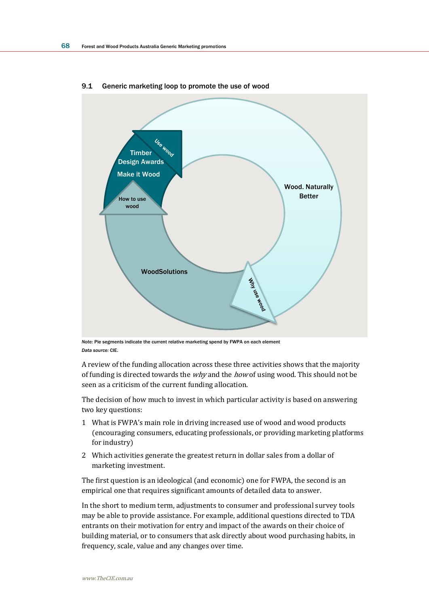

#### 9.1 Generic marketing loop to promote the use of wood

*Note:* Pie segments indicate the current relative marketing spend by FWPA on each element *Data source:* CIE.

A review of the funding allocation across these three activities shows that the majority of funding is directed towards the *why* and the *how* of using wood. This should not be seen as a criticism of the current funding allocation.

The decision of how much to invest in which particular activity is based on answering two key questions:

- 1 What is FWPA's main role in driving increased use of wood and wood products (encouraging consumers, educating professionals, or providing marketing platforms for industry)
- 2 Which activities generate the greatest return in dollar sales from a dollar of marketing investment.

The first question is an ideological (and economic) one for FWPA, the second is an empirical one that requires significant amounts of detailed data to answer.

In the short to medium term, adjustments to consumer and professional survey tools may be able to provide assistance. For example, additional questions directed to TDA entrants on their motivation for entry and impact of the awards on their choice of building material, or to consumers that ask directly about wood purchasing habits, in frequency, scale, value and any changes over time.